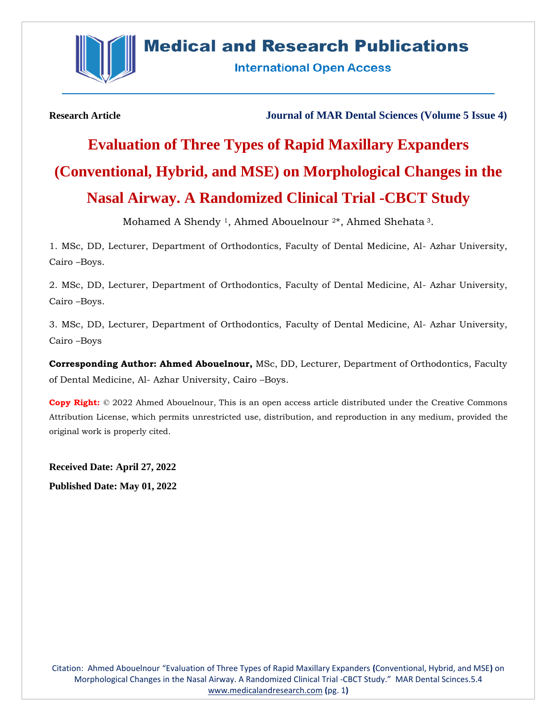

# **Medical and Research Publications**

**International Open Access** 

**Research Article Journal of MAR Dental Sciences (Volume 5 Issue 4)**

# **Evaluation of Three Types of Rapid Maxillary Expanders (Conventional, Hybrid, and MSE) on Morphological Changes in the Nasal Airway. A Randomized Clinical Trial -CBCT Study**

Mohamed A Shendy 1, Ahmed Abouelnour 2\*, Ahmed Shehata <sup>3</sup>.

1. MSc, DD, Lecturer, Department of Orthodontics, Faculty of Dental Medicine, Al- Azhar University, Cairo –Boys.

2. MSc, DD, Lecturer, Department of Orthodontics, Faculty of Dental Medicine, Al- Azhar University, Cairo –Boys.

3. MSc, DD, Lecturer, Department of Orthodontics, Faculty of Dental Medicine, Al- Azhar University, Cairo –Boys

**Corresponding Author: Ahmed Abouelnour,** MSc, DD, Lecturer, Department of Orthodontics, Faculty of Dental Medicine, Al- Azhar University, Cairo –Boys.

**Copy Right:** © 2022 Ahmed Abouelnour, This is an open access article distributed under the Creative Commons Attribution License, which permits unrestricted use, distribution, and reproduction in any medium, provided the original work is properly cited.

**Received Date: April 27, 2022 Published Date: May 01, 2022**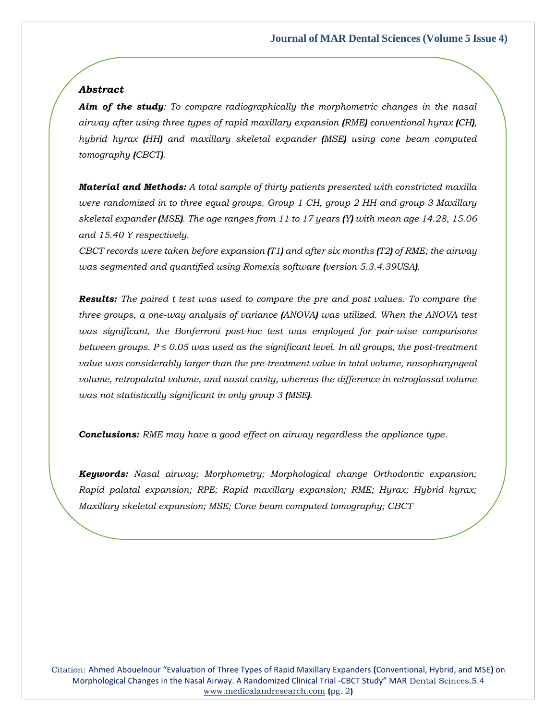# *Abstract*

*Aim of the study: To compare radiographically the morphometric changes in the nasal airway after using three types of rapid maxillary expansion (RME) conventional hyrax (CH), hybrid hyrax (HH) and maxillary skeletal expander (MSE) using cone beam computed tomography (CBCT).*

*Material and Methods: A total sample of thirty patients presented with constricted maxilla were randomized in to three equal groups. Group 1 CH, group 2 HH and group 3 Maxillary skeletal expander (MSE). The age ranges from 11 to 17 years (Y) with mean age 14.28, 15.06 and 15.40 Y respectively.*

*CBCT records were taken before expansion (T1) and after six months (T2) of RME; the airway was segmented and quantified using Romexis software (version 5.3.4.39USA).*

*Results: The paired t test was used to compare the pre and post values. To compare the three groups, a one-way analysis of variance (ANOVA) was utilized. When the ANOVA test was significant, the Bonferroni post-hoc test was employed for pair-wise comparisons between groups. P ≤ 0.05 was used as the significant level. In all groups, the post-treatment value was considerably larger than the pre-treatment value in total volume, nasopharyngeal volume, retropalatal volume, and nasal cavity, whereas the difference in retroglossal volume was not statistically significant in only group 3 (MSE).*

*Conclusions: RME may have a good effect on airway regardless the appliance type.*

*Keywords: Nasal airway; Morphometry; Morphological change Orthodontic expansion; Rapid palatal expansion; RPE; Rapid maxillary expansion; RME; Hyrax; Hybrid hyrax; Maxillary skeletal expansion; MSE; Cone beam computed tomography; CBCT*

Citation: Ahmed Abouelnour "Evaluation of Three Types of Rapid Maxillary Expanders **(**Conventional, Hybrid, and MSE**)** on Morphological Changes in the Nasal Airway. A Randomized Clinical Trial -CBCT Study" MAR Dental Scinces.5.4 [www.medicalandresearch.com](http://www.medicalandresearch.com/) **(**pg. 2**)**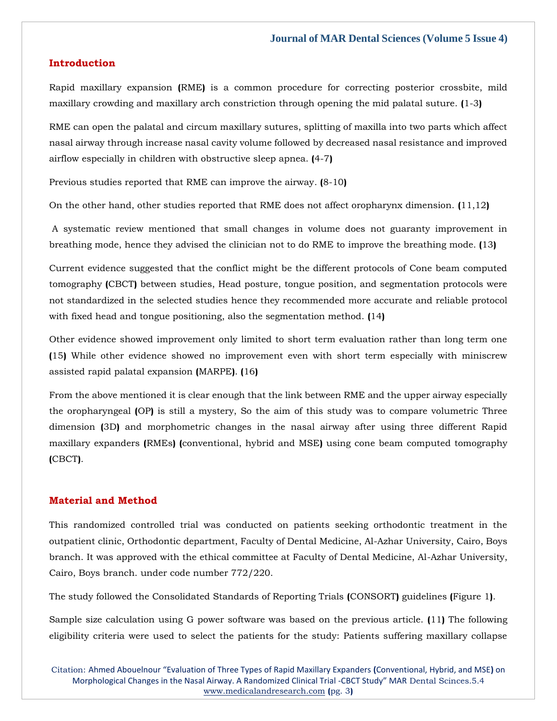#### **Introduction**

Rapid maxillary expansion **(**RME**)** is a common procedure for correcting posterior crossbite, mild maxillary crowding and maxillary arch constriction through opening the mid palatal suture. **(**1-3**)**

RME can open the palatal and circum maxillary sutures, splitting of maxilla into two parts which affect nasal airway through increase nasal cavity volume followed by decreased nasal resistance and improved airflow especially in children with obstructive sleep apnea. **(**4-7**)**

Previous studies reported that RME can improve the airway. **(**8-10**)**

On the other hand, other studies reported that RME does not affect oropharynx dimension. **(**11,12**)**

A systematic review mentioned that small changes in volume does not guaranty improvement in breathing mode, hence they advised the clinician not to do RME to improve the breathing mode. **(**13**)**

Current evidence suggested that the conflict might be the different protocols of Cone beam computed tomography **(**CBCT**)** between studies, Head posture, tongue position, and segmentation protocols were not standardized in the selected studies hence they recommended more accurate and reliable protocol with fixed head and tongue positioning, also the segmentation method. **(**14**)**

Other evidence showed improvement only limited to short term evaluation rather than long term one **(**15**)** While other evidence showed no improvement even with short term especially with miniscrew assisted rapid palatal expansion **(**MARPE**)**. **(**16**)**

From the above mentioned it is clear enough that the link between RME and the upper airway especially the oropharyngeal **(**OP**)** is still a mystery, So the aim of this study was to compare volumetric Three dimension **(**3D**)** and morphometric changes in the nasal airway after using three different Rapid maxillary expanders **(**RMEs**) (**conventional, hybrid and MSE**)** using cone beam computed tomography **(**CBCT**)**.

# **Material and Method**

This randomized controlled trial was conducted on patients seeking orthodontic treatment in the outpatient clinic, Orthodontic department, Faculty of Dental Medicine, Al-Azhar University, Cairo, Boys branch. It was approved with the ethical committee at Faculty of Dental Medicine, Al-Azhar University, Cairo, Boys branch. under code number 772/220.

The study followed the Consolidated Standards of Reporting Trials **(**CONSORT**)** guidelines **(**Figure 1**)**.

Sample size calculation using G power software was based on the previous article. **(**11**)** The following eligibility criteria were used to select the patients for the study: Patients suffering maxillary collapse

Citation: Ahmed Abouelnour "Evaluation of Three Types of Rapid Maxillary Expanders **(**Conventional, Hybrid, and MSE**)** on Morphological Changes in the Nasal Airway. A Randomized Clinical Trial -CBCT Study" MAR Dental Scinces.5.4 [www.medicalandresearch.com](http://www.medicalandresearch.com/) **(**pg. 3**)**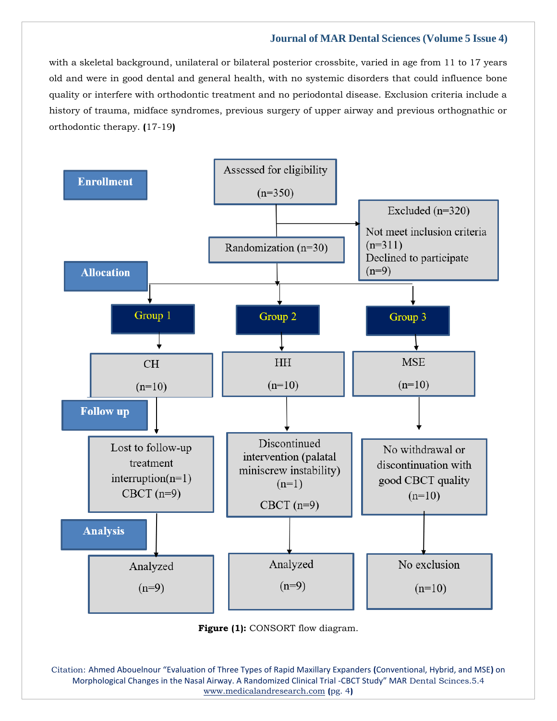with a skeletal background, unilateral or bilateral posterior crossbite, varied in age from 11 to 17 years old and were in good dental and general health, with no systemic disorders that could influence bone quality or interfere with orthodontic treatment and no periodontal disease. Exclusion criteria include a history of trauma, midface syndromes, previous surgery of upper airway and previous orthognathic or orthodontic therapy. **(**17-19**)**



Citation: Ahmed Abouelnour "Evaluation of Three Types of Rapid Maxillary Expanders **(**Conventional, Hybrid, and MSE**)** on Morphological Changes in the Nasal Airway. A Randomized Clinical Trial -CBCT Study" MAR Dental Scinces.5.4 [www.medicalandresearch.com](http://www.medicalandresearch.com/) **(**pg. 4**)**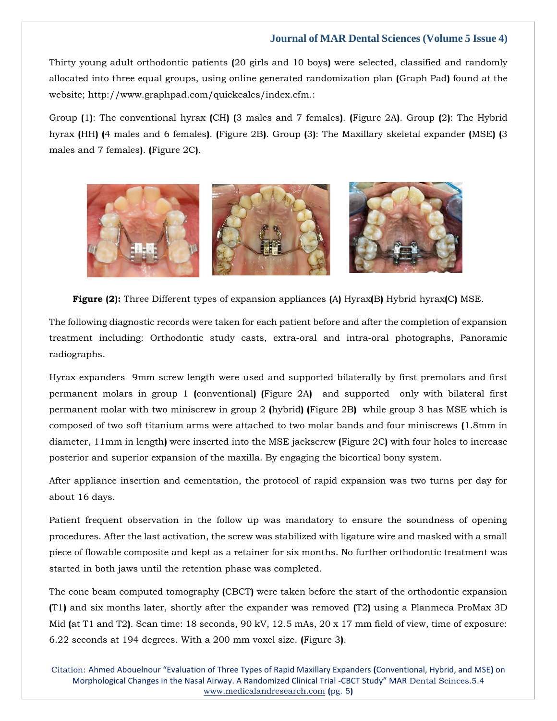Thirty young adult orthodontic patients **(**20 girls and 10 boys**)** were selected, classified and randomly allocated into three equal groups, using online generated randomization plan **(**Graph Pad**)** found at the website; http://www.graphpad.com/quickcalcs/index.cfm.:

Group **(**1**)**: The conventional hyrax **(**CH**) (**3 males and 7 females**)**. **(**Figure 2A**)**. Group **(**2**)**: The Hybrid hyrax **(**HH**) (**4 males and 6 females**)**. **(**Figure 2B**)**. Group **(**3**)**: The Maxillary skeletal expander **(**MSE**) (**3 males and 7 females**)**. **(**Figure 2C**)**.



**Figure (2):** Three Different types of expansion appliances **(**A**)** Hyrax**(**B**)** Hybrid hyrax**(**C**)** MSE.

The following diagnostic records were taken for each patient before and after the completion of expansion treatment including: Orthodontic study casts, extra-oral and intra-oral photographs, Panoramic radiographs.

Hyrax expanders 9mm screw length were used and supported bilaterally by first premolars and first permanent molars in group 1 **(**conventional**) (**Figure 2A**)** and supported only with bilateral first permanent molar with two miniscrew in group 2 **(**hybrid**) (**Figure 2B**)** while group 3 has MSE which is composed of two soft titanium arms were attached to two molar bands and four miniscrews **(**1.8mm in diameter, 11mm in length**)** were inserted into the MSE jackscrew **(**Figure 2C**)** with four holes to increase posterior and superior expansion of the maxilla. By engaging the bicortical bony system.

After appliance insertion and cementation, the protocol of rapid expansion was two turns per day for about 16 days.

Patient frequent observation in the follow up was mandatory to ensure the soundness of opening procedures. After the last activation, the screw was stabilized with ligature wire and masked with a small piece of flowable composite and kept as a retainer for six months. No further orthodontic treatment was started in both jaws until the retention phase was completed.

The cone beam computed tomography **(**CBCT**)** were taken before the start of the orthodontic expansion **(**T1**)** and six months later, shortly after the expander was removed **(**T2**)** using a Planmeca ProMax 3D Mid **(**at T1 and T2**)**. Scan time: 18 seconds, 90 kV, 12.5 mAs, 20 x 17 mm field of view, time of exposure: 6.22 seconds at 194 degrees. With a 200 mm voxel size. **(**Figure 3**)**.

Citation: Ahmed Abouelnour "Evaluation of Three Types of Rapid Maxillary Expanders **(**Conventional, Hybrid, and MSE**)** on Morphological Changes in the Nasal Airway. A Randomized Clinical Trial -CBCT Study" MAR Dental Scinces.5.4 [www.medicalandresearch.com](http://www.medicalandresearch.com/) **(**pg. 5**)**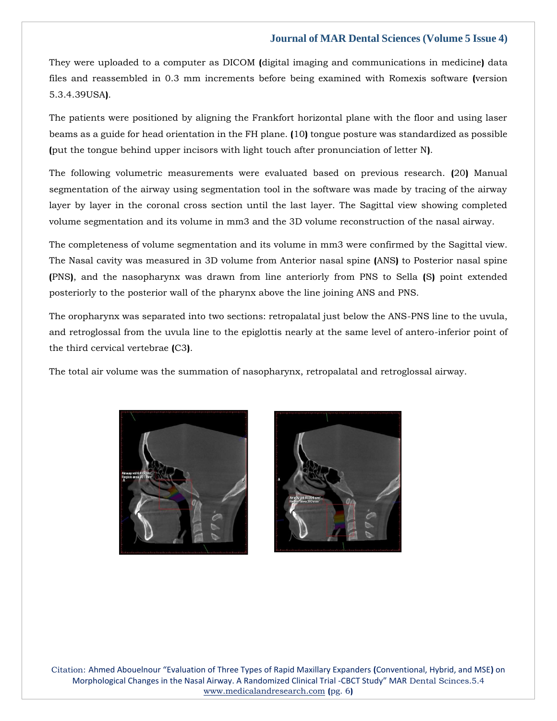They were uploaded to a computer as DICOM **(**digital imaging and communications in medicine**)** data files and reassembled in 0.3 mm increments before being examined with Romexis software **(**version 5.3.4.39USA**)**.

The patients were positioned by aligning the Frankfort horizontal plane with the floor and using laser beams as a guide for head orientation in the FH plane. **(**10**)** tongue posture was standardized as possible **(**put the tongue behind upper incisors with light touch after pronunciation of letter N**)**.

The following volumetric measurements were evaluated based on previous research. **(**20**)** Manual segmentation of the airway using segmentation tool in the software was made by tracing of the airway layer by layer in the coronal cross section until the last layer. The Sagittal view showing completed volume segmentation and its volume in mm3 and the 3D volume reconstruction of the nasal airway.

The completeness of volume segmentation and its volume in mm3 were confirmed by the Sagittal view. The Nasal cavity was measured in 3D volume from Anterior nasal spine **(**ANS**)** to Posterior nasal spine **(**PNS**)**, and the nasopharynx was drawn from line anteriorly from PNS to Sella **(**S**)** point extended posteriorly to the posterior wall of the pharynx above the line joining ANS and PNS.

The oropharynx was separated into two sections: retropalatal just below the ANS-PNS line to the uvula, and retroglossal from the uvula line to the epiglottis nearly at the same level of antero-inferior point of the third cervical vertebrae **(**C3**)**.

The total air volume was the summation of nasopharynx, retropalatal and retroglossal airway.





Citation: Ahmed Abouelnour "Evaluation of Three Types of Rapid Maxillary Expanders **(**Conventional, Hybrid, and MSE**)** on Morphological Changes in the Nasal Airway. A Randomized Clinical Trial -CBCT Study" MAR Dental Scinces.5.4 [www.medicalandresearch.com](http://www.medicalandresearch.com/) **(**pg. 6**)**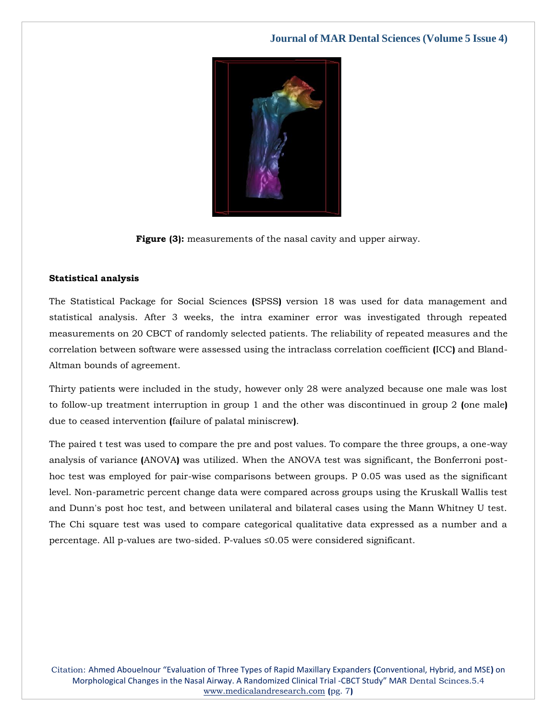

**Figure (3):** measurements of the nasal cavity and upper airway.

#### **Statistical analysis**

The Statistical Package for Social Sciences **(**SPSS**)** version 18 was used for data management and statistical analysis. After 3 weeks, the intra examiner error was investigated through repeated measurements on 20 CBCT of randomly selected patients. The reliability of repeated measures and the correlation between software were assessed using the intraclass correlation coefficient **(**ICC**)** and Bland-Altman bounds of agreement.

Thirty patients were included in the study, however only 28 were analyzed because one male was lost to follow-up treatment interruption in group 1 and the other was discontinued in group 2 **(**one male**)** due to ceased intervention **(**failure of palatal miniscrew**)**.

The paired t test was used to compare the pre and post values. To compare the three groups, a one-way analysis of variance **(**ANOVA**)** was utilized. When the ANOVA test was significant, the Bonferroni posthoc test was employed for pair-wise comparisons between groups. P 0.05 was used as the significant level. Non-parametric percent change data were compared across groups using the Kruskall Wallis test and Dunn's post hoc test, and between unilateral and bilateral cases using the Mann Whitney U test. The Chi square test was used to compare categorical qualitative data expressed as a number and a percentage. All p-values are two-sided. P-values ≤0.05 were considered significant.

Citation: Ahmed Abouelnour "Evaluation of Three Types of Rapid Maxillary Expanders **(**Conventional, Hybrid, and MSE**)** on Morphological Changes in the Nasal Airway. A Randomized Clinical Trial -CBCT Study" MAR Dental Scinces.5.4 [www.medicalandresearch.com](http://www.medicalandresearch.com/) **(**pg. 7**)**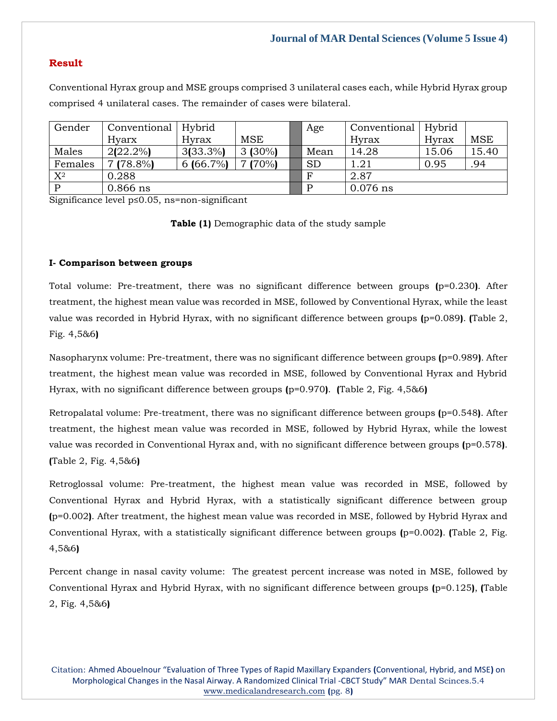# **Result**

Conventional Hyrax group and MSE groups comprised 3 unilateral cases each, while Hybrid Hyrax group comprised 4 unilateral cases. The remainder of cases were bilateral.

| Gender  | Conventional | Hybrid      |            | Age          | Conventional | Hybrid |            |  |
|---------|--------------|-------------|------------|--------------|--------------|--------|------------|--|
|         | Hyarx        | Hyrax       | <b>MSE</b> |              | Hyrax        | Hyrax  | <b>MSE</b> |  |
| Males   | $2(22.2\%)$  | $3(33.3\%)$ | $3(30\%)$  | Mean         | 14.28        | 15.06  | 15.40      |  |
| Females | $7(78.8\%)$  | $6(66.7\%)$ | 7(70%)     | <b>SD</b>    | 1.21         | 0.95   | .94        |  |
| $X^2$   | 0.288        |             |            | $\mathbf{F}$ | 2.87         |        |            |  |
| P       | $0.866$ ns   |             |            | D            | $0.076$ ns   |        |            |  |

Significance level p≤0.05, ns=non-significant

**Table (1)** Demographic data of the study sample

### **I- Comparison between groups**

Total volume: Pre-treatment, there was no significant difference between groups **(**p=0.230**)**. After treatment, the highest mean value was recorded in MSE, followed by Conventional Hyrax, while the least value was recorded in Hybrid Hyrax, with no significant difference between groups **(**p=0.089**)**. **(**Table 2, Fig. 4,5&6**)**

Nasopharynx volume: Pre-treatment, there was no significant difference between groups **(**p=0.989**)**. After treatment, the highest mean value was recorded in MSE, followed by Conventional Hyrax and Hybrid Hyrax, with no significant difference between groups **(**p=0.970**)**. **(**Table 2, Fig. 4,5&6**)**

Retropalatal volume: Pre-treatment, there was no significant difference between groups **(**p=0.548**)**. After treatment, the highest mean value was recorded in MSE, followed by Hybrid Hyrax, while the lowest value was recorded in Conventional Hyrax and, with no significant difference between groups **(**p=0.578**)**. **(**Table 2, Fig. 4,5&6**)**

Retroglossal volume: Pre-treatment, the highest mean value was recorded in MSE, followed by Conventional Hyrax and Hybrid Hyrax, with a statistically significant difference between group **(**p=0.002**)**. After treatment, the highest mean value was recorded in MSE, followed by Hybrid Hyrax and Conventional Hyrax, with a statistically significant difference between groups **(**p=0.002**)**. **(**Table 2, Fig. 4,5&6**)**

Percent change in nasal cavity volume: The greatest percent increase was noted in MSE, followed by Conventional Hyrax and Hybrid Hyrax, with no significant difference between groups **(**p=0.125**)**, **(**Table 2, Fig. 4,5&6**)**

Citation: Ahmed Abouelnour "Evaluation of Three Types of Rapid Maxillary Expanders **(**Conventional, Hybrid, and MSE**)** on Morphological Changes in the Nasal Airway. A Randomized Clinical Trial -CBCT Study" MAR Dental Scinces.5.4 [www.medicalandresearch.com](http://www.medicalandresearch.com/) **(**pg. 8**)**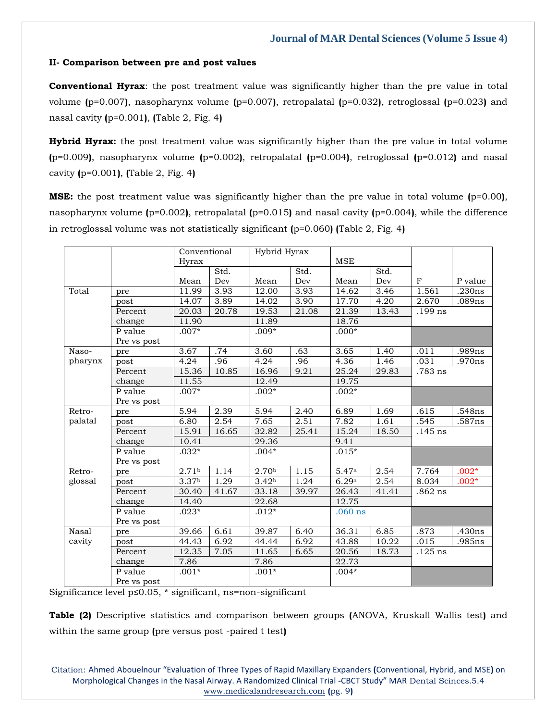#### **II- Comparison between pre and post values**

**Conventional Hyrax**: the post treatment value was significantly higher than the pre value in total volume **(**p=0.007**)**, nasopharynx volume **(**p=0.007**)**, retropalatal **(**p=0.032**)**, retroglossal **(**p=0.023**)** and nasal cavity **(**p=0.001**)**, **(**Table 2, Fig. 4**)**

**Hybrid Hyrax:** the post treatment value was significantly higher than the pre value in total volume **(**p=0.009**)**, nasopharynx volume **(**p=0.002**)**, retropalatal **(**p=0.004**)**, retroglossal **(**p=0.012**)** and nasal cavity **(**p=0.001**)**, **(**Table 2, Fig. 4**)**

**MSE:** the post treatment value was significantly higher than the pre value in total volume **(**p=0.00**)**, nasopharynx volume **(**p=0.002**)**, retropalatal **(**p=0.015**)** and nasal cavity **(**p=0.004**)**, while the difference in retroglossal volume was not statistically significant **(**p=0.060**) (**Table 2, Fig. 4**)**

|         |             | Conventional |       | Hybrid Hyrax      |       |            |       |           |         |
|---------|-------------|--------------|-------|-------------------|-------|------------|-------|-----------|---------|
|         |             | Hyrax        |       |                   |       | <b>MSE</b> |       |           |         |
|         |             |              | Std.  |                   | Std.  |            | Std.  |           |         |
|         |             | Mean         | Dev   | Mean              | Dev   | Mean       | Dev   | F         | P value |
| Total   | pre         | 11.99        | 3.93  | 12.00             | 3.93  | 14.62      | 3.46  | 1.561     | .230ns  |
|         | post        | 14.07        | 3.89  | 14.02             | 3.90  | 17.70      | 4.20  | 2.670     | .089ns  |
|         | Percent     | 20.03        | 20.78 | 19.53             | 21.08 | 21.39      | 13.43 | $.199$ ns |         |
|         | change      | 11.90        |       | 11.89             |       | 18.76      |       |           |         |
|         | P value     | $.007*$      |       | $.009*$           |       | $.000*$    |       |           |         |
|         | Pre vs post |              |       |                   |       |            |       |           |         |
| Naso-   | pre         | 3.67         | .74   | 3.60              | .63   | 3.65       | 1.40  | .011      | .989ns  |
| pharynx | post        | 4.24         | .96   | 4.24              | .96   | 4.36       | 1.46  | .031      | .970ns  |
|         | Percent     | 15.36        | 10.85 | 16.96             | 9.21  | 25.24      | 29.83 | .783 ns   |         |
|         | change      | 11.55        |       | 12.49             |       | 19.75      |       |           |         |
|         | P value     | $.007*$      |       | $.002*$           |       | $.002*$    |       |           |         |
|         | Pre vs post |              |       |                   |       |            |       |           |         |
| Retro-  | pre         | 5.94         | 2.39  | 5.94              | 2.40  | 6.89       | 1.69  | .615      | .548ns  |
| palatal | post        | 6.80         | 2.54  | 7.65              | 2.51  | 7.82       | 1.61  | .545      | .587ns  |
|         | Percent     | 15.91        | 16.65 | 32.82             | 25.41 | 15.24      | 18.50 | $.145$ ns |         |
|         | change      | 10.41        |       | 29.36             |       | 9.41       |       |           |         |
|         | P value     | $.032*$      |       | $.004*$           |       | $.015*$    |       |           |         |
|         | Pre vs post |              |       |                   |       |            |       |           |         |
| Retro-  | pre         | 2.71b        | 1.14  | 2.70b             | 1.15  | 5.47a      | 2.54  | 7.764     | $.002*$ |
| glossal | post        | 3.37b        | 1.29  | 3.42 <sub>b</sub> | 1.24  | 6.29a      | 2.54  | 8.034     | $.002*$ |
|         | Percent     | 30.40        | 41.67 | 33.18             | 39.97 | 26.43      | 41.41 | $.862$ ns |         |
|         | change      | 14.40        |       | 22.68             |       | 12.75      |       |           |         |
|         | P value     | $.023*$      |       | $.012*$           |       | $.060$ ns  |       |           |         |
|         | Pre vs post |              |       |                   |       |            |       |           |         |
| Nasal   | pre         | 39.66        | 6.61  | 39.87             | 6.40  | 36.31      | 6.85  | .873      | .430ns  |
| cavity  | post        | 44.43        | 6.92  | 44.44             | 6.92  | 43.88      | 10.22 | .015      | .985ns  |
|         | Percent     | 12.35        | 7.05  | 11.65             | 6.65  | 20.56      | 18.73 | $.125$ ns |         |
|         | change      | 7.86         |       | 7.86              |       | 22.73      |       |           |         |
|         | P value     | $.001*$      |       | $.001*$           |       | $.004*$    |       |           |         |
|         | Pre vs post |              |       |                   |       |            |       |           |         |

Significance level p≤0.05, \* significant, ns=non-significant

**Table (2)** Descriptive statistics and comparison between groups **(**ANOVA, Kruskall Wallis test**)** and within the same group **(**pre versus post -paired t test**)**

Citation: Ahmed Abouelnour "Evaluation of Three Types of Rapid Maxillary Expanders **(**Conventional, Hybrid, and MSE**)** on Morphological Changes in the Nasal Airway. A Randomized Clinical Trial -CBCT Study" MAR Dental Scinces.5.4 [www.medicalandresearch.com](http://www.medicalandresearch.com/) **(**pg. 9**)**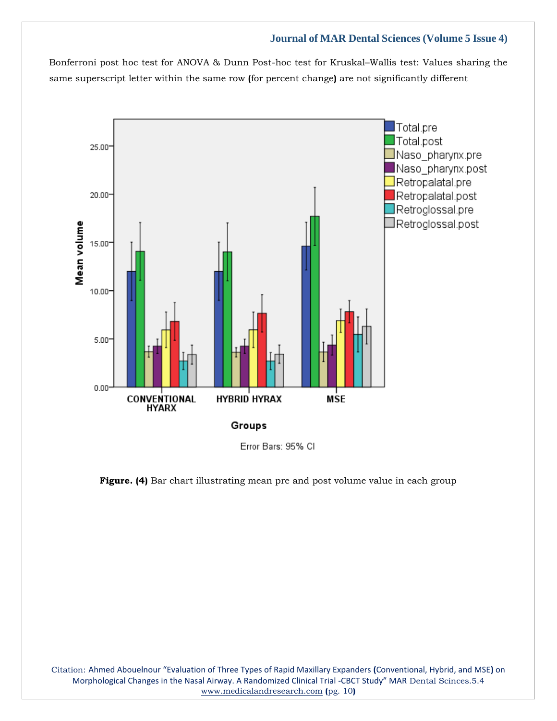Bonferroni post hoc test for ANOVA & Dunn Post-hoc test for Kruskal–Wallis test: Values sharing the same superscript letter within the same row **(**for percent change**)** are not significantly different



Error Bars: 95% CI

**Figure. (4)** Bar chart illustrating mean pre and post volume value in each group

Citation: Ahmed Abouelnour "Evaluation of Three Types of Rapid Maxillary Expanders **(**Conventional, Hybrid, and MSE**)** on Morphological Changes in the Nasal Airway. A Randomized Clinical Trial -CBCT Study" MAR Dental Scinces.5.4 [www.medicalandresearch.com](http://www.medicalandresearch.com/) **(**pg. 10**)**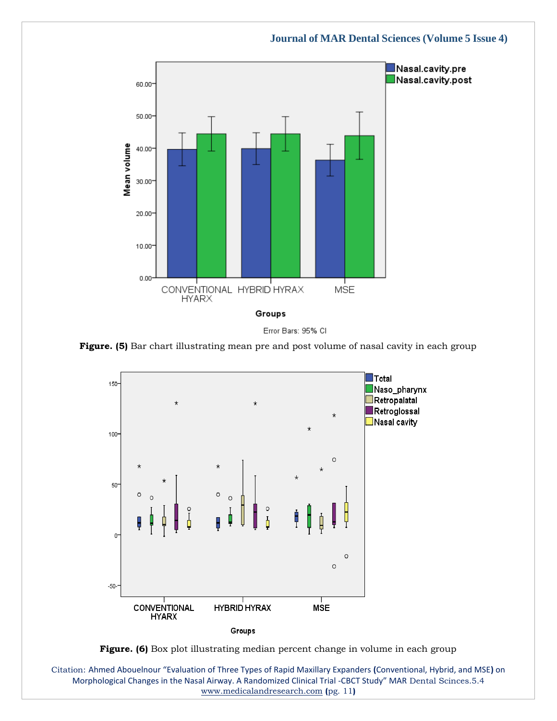



**Figure. (5)** Bar chart illustrating mean pre and post volume of nasal cavity in each group



**Figure. (6)** Box plot illustrating median percent change in volume in each group

Citation: Ahmed Abouelnour "Evaluation of Three Types of Rapid Maxillary Expanders **(**Conventional, Hybrid, and MSE**)** on Morphological Changes in the Nasal Airway. A Randomized Clinical Trial -CBCT Study" MAR Dental Scinces.5.4 [www.medicalandresearch.com](http://www.medicalandresearch.com/) **(**pg. 11**)**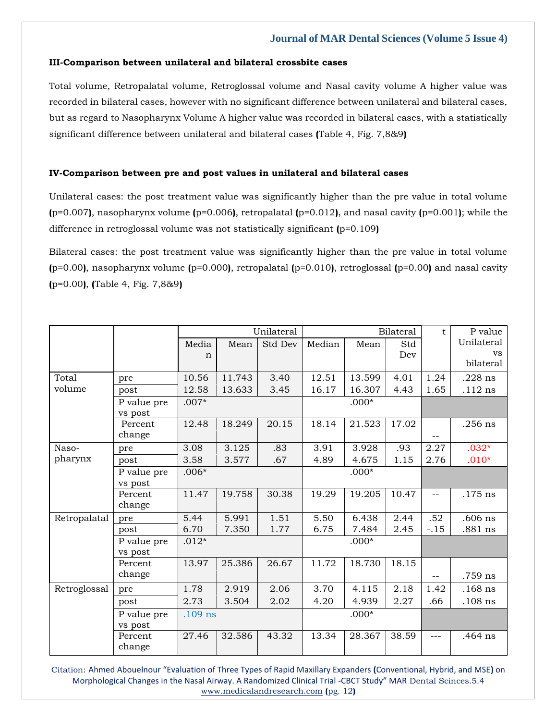#### **III-Comparison between unilateral and bilateral crossbite cases**

Total volume, Retropalatal volume, Retroglossal volume and Nasal cavity volume A higher value was recorded in bilateral cases, however with no significant difference between unilateral and bilateral cases, but as regard to Nasopharynx Volume A higher value was recorded in bilateral cases, with a statistically significant difference between unilateral and bilateral cases **(**Table 4, Fig. 7,8&9**)**

# **IV-Comparison between pre and post values in unilateral and bilateral cases**

Unilateral cases: the post treatment value was significantly higher than the pre value in total volume **(**p=0.007**)**, nasopharynx volume **(**p=0.006**)**, retropalatal **(**p=0.012**)**, and nasal cavity **(**p=0.001**)**; while the difference in retroglossal volume was not statistically significant **(**p=0.109**)**

Bilateral cases: the post treatment value was significantly higher than the pre value in total volume **(**p=0.00**)**, nasopharynx volume **(**p=0.000**)**, retropalatal **(**p=0.010**)**, retroglossal **(**p=0.00**)** and nasal cavity **(**p=0.00**)**, **(**Table 4, Fig. 7,8&9**)**

|              |             | Unilateral |        |         | <b>Bilateral</b> |         |       | t      | P value    |  |
|--------------|-------------|------------|--------|---------|------------------|---------|-------|--------|------------|--|
|              |             | Media      | Mean   | Std Dev | Median           | Mean    | Std   |        | Unilateral |  |
|              |             | n          |        |         |                  |         | Dev   |        | <b>VS</b>  |  |
|              |             |            |        |         |                  |         |       |        | bilateral  |  |
| Total        | pre         | 10.56      | 11.743 | 3.40    | 12.51            | 13.599  | 4.01  | 1.24   | $.228$ ns  |  |
| volume       | post        | 12.58      | 13.633 | 3.45    | 16.17            | 16.307  | 4.43  | 1.65   | $.112$ ns  |  |
|              | P value pre | $.007*$    |        |         |                  | $.000*$ |       |        |            |  |
|              | vs post     |            |        |         |                  |         |       |        |            |  |
|              | Percent     | 12.48      | 18.249 | 20.15   | 18.14            | 21.523  | 17.02 |        | $.256$ ns  |  |
|              | change      |            |        |         |                  |         |       |        |            |  |
| Naso-        | pre         | 3.08       | 3.125  | .83     | 3.91             | 3.928   | .93   | 2.27   | $.032*$    |  |
| pharynx      | post        | 3.58       | 3.577  | .67     | 4.89             | 4.675   | 1.15  | 2.76   | $.010*$    |  |
|              | P value pre | $.006*$    |        |         | $.000*$          |         |       |        |            |  |
|              | vs post     |            |        |         |                  |         |       |        |            |  |
|              | Percent     | 11.47      | 19.758 | 30.38   | 19.29            | 19.205  | 10.47 | $-$    | $.175$ ns  |  |
|              | change      |            |        |         |                  |         |       |        |            |  |
| Retropalatal | pre         | 5.44       | 5.991  | 1.51    | 5.50             | 6.438   | 2.44  | .52    | $.606$ ns  |  |
|              | post        | 6.70       | 7.350  | 1.77    | 6.75             | 7.484   | 2.45  | $-.15$ | .881 ns    |  |
|              | P value pre | $.012*$    |        |         |                  | $.000*$ |       |        |            |  |
|              | vs post     |            |        |         |                  |         |       |        |            |  |
|              | Percent     | 13.97      | 25.386 | 26.67   | 11.72            | 18.730  | 18.15 |        |            |  |
|              | change      |            |        |         |                  |         |       |        | .759 ns    |  |
| Retroglossal | pre         | 1.78       | 2.919  | 2.06    | 3.70             | 4.115   | 2.18  | 1.42   | $.168$ ns  |  |
|              | post        | 2.73       | 3.504  | 2.02    | 4.20             | 4.939   | 2.27  | .66    | $.108$ ns  |  |
|              | P value pre | $.109$ ns  |        |         | $.000*$          |         |       |        |            |  |
|              | vs post     |            |        |         |                  |         |       |        |            |  |
|              | Percent     | 27.46      | 32.586 | 43.32   | 13.34            | 28.367  | 38.59 | ---    | .464 ns    |  |
|              | change      |            |        |         |                  |         |       |        |            |  |

Citation: Ahmed Abouelnour "Evaluation of Three Types of Rapid Maxillary Expanders **(**Conventional, Hybrid, and MSE**)** on Morphological Changes in the Nasal Airway. A Randomized Clinical Trial -CBCT Study" MAR Dental Scinces.5.4 [www.medicalandresearch.com](http://www.medicalandresearch.com/) **(**pg. 12**)**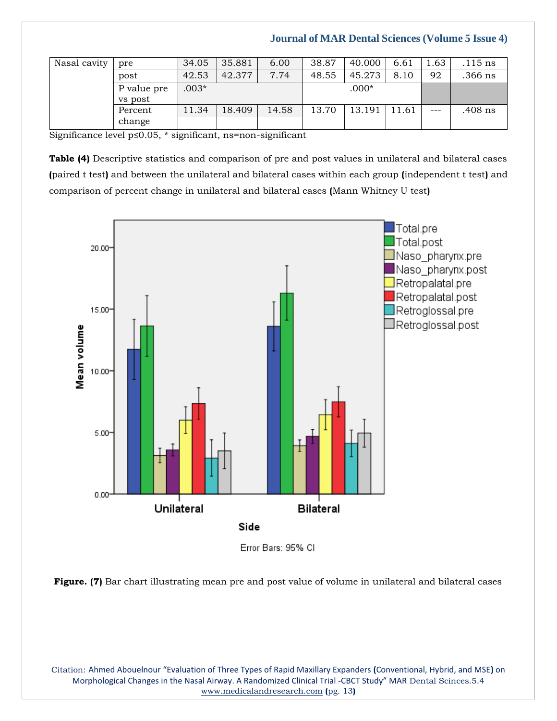| Nasal cavity | pre                    | 34.05   | 35.881 | 6.00  | 38.87 | 40.000  | 6.61  | 1.63  | .115 ns   |
|--------------|------------------------|---------|--------|-------|-------|---------|-------|-------|-----------|
|              | post                   | 42.53   | 42.377 | 7.74  | 48.55 | 45.273  | 8.10  | 92    | $.366$ ns |
|              | P value pre<br>vs post | $.003*$ |        |       |       | $.000*$ |       |       |           |
|              | Percent                | 11.34   | 18.409 | 14.58 | 13.70 | 13.191  | 11.61 | $---$ | .408 ns   |
|              | change                 |         |        |       |       |         |       |       |           |

Significance level p≤0.05, \* significant, ns=non-significant

**Table (4)** Descriptive statistics and comparison of pre and post values in unilateral and bilateral cases **(**paired t test**)** and between the unilateral and bilateral cases within each group **(**independent t test**)** and comparison of percent change in unilateral and bilateral cases **(**Mann Whitney U test**)**



Error Bars: 95% CI



Citation: Ahmed Abouelnour "Evaluation of Three Types of Rapid Maxillary Expanders **(**Conventional, Hybrid, and MSE**)** on Morphological Changes in the Nasal Airway. A Randomized Clinical Trial -CBCT Study" MAR Dental Scinces.5.4 [www.medicalandresearch.com](http://www.medicalandresearch.com/) **(**pg. 13**)**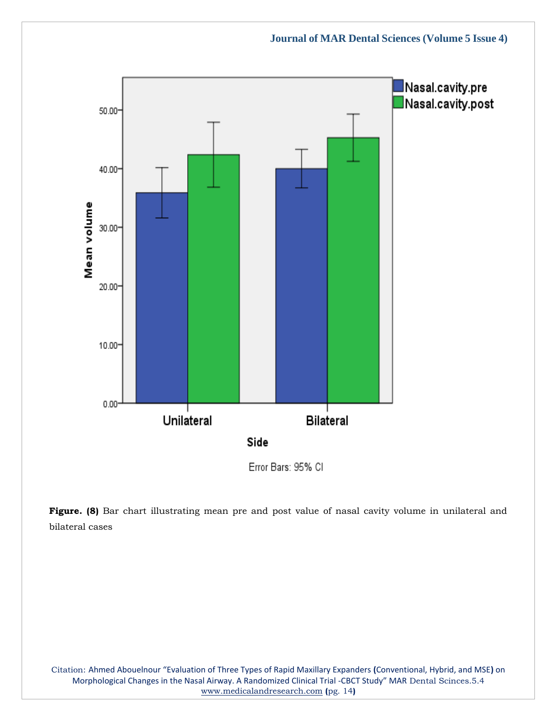



Citation: Ahmed Abouelnour "Evaluation of Three Types of Rapid Maxillary Expanders **(**Conventional, Hybrid, and MSE**)** on Morphological Changes in the Nasal Airway. A Randomized Clinical Trial -CBCT Study" MAR Dental Scinces.5.4 [www.medicalandresearch.com](http://www.medicalandresearch.com/) **(**pg. 14**)**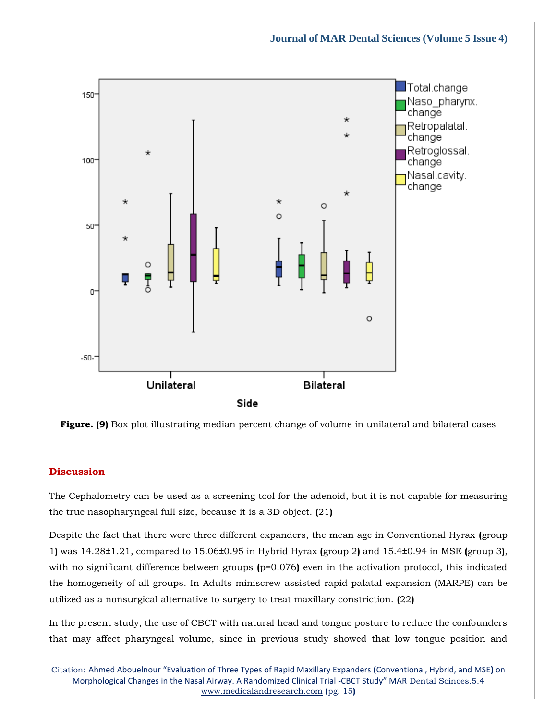

**Figure. (9)** Box plot illustrating median percent change of volume in unilateral and bilateral cases

# **Discussion**

The Cephalometry can be used as a screening tool for the adenoid, but it is not capable for measuring the true nasopharyngeal full size, because it is a 3D object. **(**21**)**

Despite the fact that there were three different expanders, the mean age in Conventional Hyrax **(**group 1**)** was 14.28±1.21, compared to 15.06±0.95 in Hybrid Hyrax **(**group 2**)** and 15.4±0.94 in MSE **(**group 3**)**, with no significant difference between groups ( $p=0.076$ ) even in the activation protocol, this indicated the homogeneity of all groups. In Adults miniscrew assisted rapid palatal expansion **(**MARPE**)** can be utilized as a nonsurgical alternative to surgery to treat maxillary constriction. **(**22**)**

In the present study, the use of CBCT with natural head and tongue posture to reduce the confounders that may affect pharyngeal volume, since in previous study showed that low tongue position and

Citation: Ahmed Abouelnour "Evaluation of Three Types of Rapid Maxillary Expanders **(**Conventional, Hybrid, and MSE**)** on Morphological Changes in the Nasal Airway. A Randomized Clinical Trial -CBCT Study" MAR Dental Scinces.5.4 [www.medicalandresearch.com](http://www.medicalandresearch.com/) **(**pg. 15**)**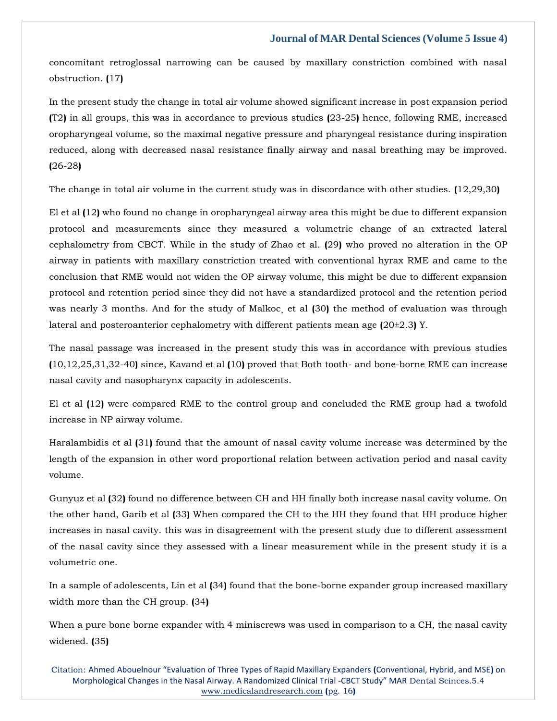concomitant retroglossal narrowing can be caused by maxillary constriction combined with nasal obstruction. **(**17**)**

In the present study the change in total air volume showed significant increase in post expansion period **(**T2**)** in all groups, this was in accordance to previous studies **(**23-25**)** hence, following RME, increased oropharyngeal volume, so the maximal negative pressure and pharyngeal resistance during inspiration reduced, along with decreased nasal resistance finally airway and nasal breathing may be improved. **(**26-28**)**

The change in total air volume in the current study was in discordance with other studies. **(**12,29,30**)**

El et al **(**12**)** who found no change in oropharyngeal airway area this might be due to different expansion protocol and measurements since they measured a volumetric change of an extracted lateral cephalometry from CBCT. While in the study of Zhao et al. **(**29**)** who proved no alteration in the OP airway in patients with maxillary constriction treated with conventional hyrax RME and came to the conclusion that RME would not widen the OP airway volume, this might be due to different expansion protocol and retention period since they did not have a standardized protocol and the retention period was nearly 3 months. And for the study of Malkoc¸ et al **(**30**)** the method of evaluation was through lateral and posteroanterior cephalometry with different patients mean age **(**20±2.3**)** Y.

The nasal passage was increased in the present study this was in accordance with previous studies **(**10,12,25,31,32-40**)** since, Kavand et al **(**10**)** proved that Both tooth- and bone-borne RME can increase nasal cavity and nasopharynx capacity in adolescents.

El et al **(**12**)** were compared RME to the control group and concluded the RME group had a twofold increase in NP airway volume.

Haralambidis et al **(**31**)** found that the amount of nasal cavity volume increase was determined by the length of the expansion in other word proportional relation between activation period and nasal cavity volume.

Gunyuz et al **(**32**)** found no difference between CH and HH finally both increase nasal cavity volume. On the other hand, Garib et al **(**33**)** When compared the CH to the HH they found that HH produce higher increases in nasal cavity. this was in disagreement with the present study due to different assessment of the nasal cavity since they assessed with a linear measurement while in the present study it is a volumetric one.

In a sample of adolescents, Lin et al **(**34**)** found that the bone-borne expander group increased maxillary width more than the CH group. **(**34**)**

When a pure bone borne expander with 4 miniscrews was used in comparison to a CH, the nasal cavity widened. **(**35**)**

Citation: Ahmed Abouelnour "Evaluation of Three Types of Rapid Maxillary Expanders **(**Conventional, Hybrid, and MSE**)** on Morphological Changes in the Nasal Airway. A Randomized Clinical Trial -CBCT Study" MAR Dental Scinces.5.4 [www.medicalandresearch.com](http://www.medicalandresearch.com/) **(**pg. 16**)**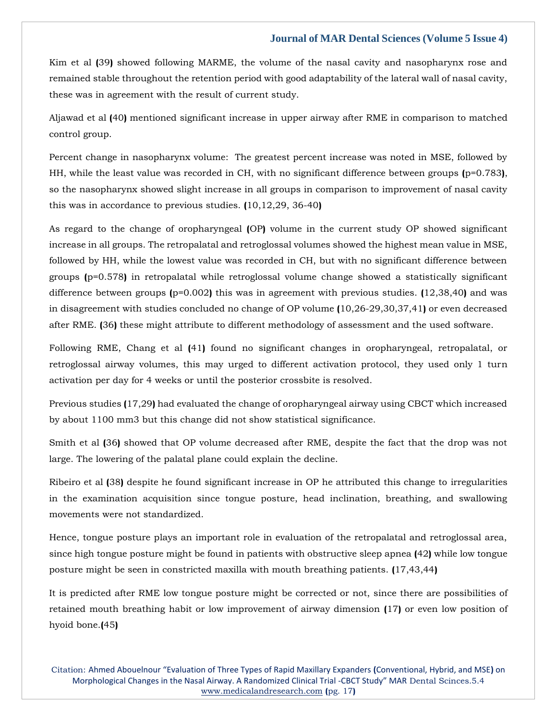Kim et al **(**39**)** showed following MARME, the volume of the nasal cavity and nasopharynx rose and remained stable throughout the retention period with good adaptability of the lateral wall of nasal cavity, these was in agreement with the result of current study.

Aljawad et al **(**40**)** mentioned significant increase in upper airway after RME in comparison to matched control group.

Percent change in nasopharynx volume: The greatest percent increase was noted in MSE, followed by HH, while the least value was recorded in CH, with no significant difference between groups **(**p=0.783**)**, so the nasopharynx showed slight increase in all groups in comparison to improvement of nasal cavity this was in accordance to previous studies. **(**10,12,29, 36-40**)**

As regard to the change of oropharyngeal **(**OP**)** volume in the current study OP showed significant increase in all groups. The retropalatal and retroglossal volumes showed the highest mean value in MSE, followed by HH, while the lowest value was recorded in CH, but with no significant difference between groups **(**p=0.578**)** in retropalatal while retroglossal volume change showed a statistically significant difference between groups **(**p=0.002**)** this was in agreement with previous studies. **(**12,38,40**)** and was in disagreement with studies concluded no change of OP volume **(**10,26-29,30,37,41**)** or even decreased after RME. **(**36**)** these might attribute to different methodology of assessment and the used software.

Following RME, Chang et al **(**41**)** found no significant changes in oropharyngeal, retropalatal, or retroglossal airway volumes, this may urged to different activation protocol, they used only 1 turn activation per day for 4 weeks or until the posterior crossbite is resolved.

Previous studies **(**17,29**)** had evaluated the change of oropharyngeal airway using CBCT which increased by about 1100 mm3 but this change did not show statistical significance.

Smith et al **(**36**)** showed that OP volume decreased after RME, despite the fact that the drop was not large. The lowering of the palatal plane could explain the decline.

Ribeiro et al **(**38**)** despite he found significant increase in OP he attributed this change to irregularities in the examination acquisition since tongue posture, head inclination, breathing, and swallowing movements were not standardized.

Hence, tongue posture plays an important role in evaluation of the retropalatal and retroglossal area, since high tongue posture might be found in patients with obstructive sleep apnea **(**42**)** while low tongue posture might be seen in constricted maxilla with mouth breathing patients. **(**17,43,44**)**

It is predicted after RME low tongue posture might be corrected or not, since there are possibilities of retained mouth breathing habit or low improvement of airway dimension **(**17**)** or even low position of hyoid bone.**(**45**)**

Citation: Ahmed Abouelnour "Evaluation of Three Types of Rapid Maxillary Expanders **(**Conventional, Hybrid, and MSE**)** on Morphological Changes in the Nasal Airway. A Randomized Clinical Trial -CBCT Study" MAR Dental Scinces.5.4 [www.medicalandresearch.com](http://www.medicalandresearch.com/) **(**pg. 17**)**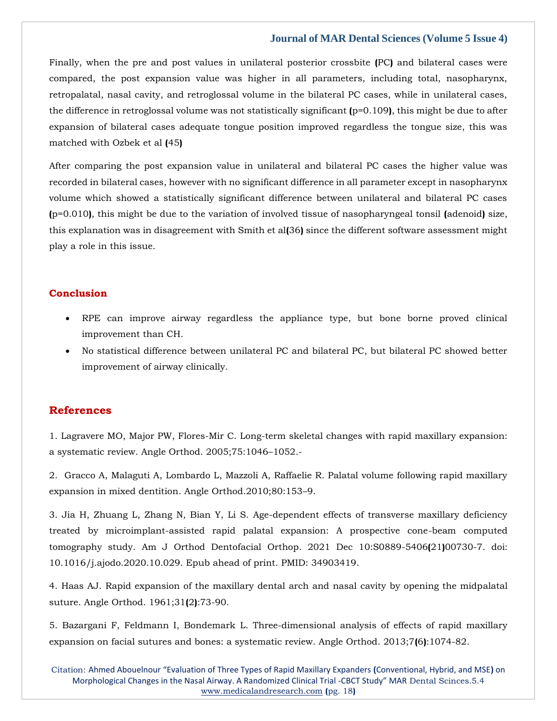Finally, when the pre and post values in unilateral posterior crossbite **(**PC**)** and bilateral cases were compared, the post expansion value was higher in all parameters, including total, nasopharynx, retropalatal, nasal cavity, and retroglossal volume in the bilateral PC cases, while in unilateral cases, the difference in retroglossal volume was not statistically significant **(**p=0.109**)**, this might be due to after expansion of bilateral cases adequate tongue position improved regardless the tongue size, this was matched with Ozbek et al **(**45**)**

After comparing the post expansion value in unilateral and bilateral PC cases the higher value was recorded in bilateral cases, however with no significant difference in all parameter except in nasopharynx volume which showed a statistically significant difference between unilateral and bilateral PC cases **(**p=0.010**)**, this might be due to the variation of involved tissue of nasopharyngeal tonsil **(**adenoid**)** size, this explanation was in disagreement with Smith et al**(**36**)** since the different software assessment might play a role in this issue.

#### **Conclusion**

- RPE can improve airway regardless the appliance type, but bone borne proved clinical improvement than CH.
- No statistical difference between unilateral PC and bilateral PC, but bilateral PC showed better improvement of airway clinically.

### **References**

1. [Lagravere MO, Major PW, Flores-Mir C. Long-term skeletal changes with rapid maxillary expansion:](https://uk.search.yahoo.com/search?fr=mcafee&type=E211GB885G0&p=.+Long-term+skeletal+changes+with+rapid+maxillary+expansion%3A+a+systematic+review)  [a systematic review. Angle Orthod. 2005;75:1046](https://uk.search.yahoo.com/search?fr=mcafee&type=E211GB885G0&p=.+Long-term+skeletal+changes+with+rapid+maxillary+expansion%3A+a+systematic+review)–1052.-

2. [Gracco A, Malaguti A, Lombardo L, Mazzoli A, Raffaelie R. Palatal volume following rapid maxillary](https://uk.search.yahoo.com/search;_ylt=AwrT4pL0fGtisy4AECsM34lQ;_ylc=X1MDMTM1MTIxMjgxMgRfcgMyBGZyA21jYWZlZQRmcjIDc2ItdG9wBGdwcmlkAy5CWjFNQncyVHJpWTZieV8xTFVnbUEEbl9yc2x0AzAEbl9zdWdnAzAEb3JpZ2luA3VrLnNlYXJjaC55YWhvby5jb20EcG9zAzAEcHFzdHIDBHBxc3RybAMwBHFzdHJsAzcxBHF1ZXJ5A1BhbGF0YWwlMjB2b2x1bWUlMjBmb2xsb3dpbmclMjByYXBpZCUyMG1heGlsbGFyeSUyMGV4cGFuc2lvbiUyMGluJTIwbWl4ZWQlMjBkZW50aXRpb24uJTIwBHRfc3RtcAMxNjUxMjExNTcx?p=Palatal+volume+following+rapid+maxillary+expansion+in+mixed+dentition.+&fr2=sb-top&fr=mcafee&type=E211GB885G0)  [expansion in mixed dentition. Angle Orthod.2010;80:153](https://uk.search.yahoo.com/search;_ylt=AwrT4pL0fGtisy4AECsM34lQ;_ylc=X1MDMTM1MTIxMjgxMgRfcgMyBGZyA21jYWZlZQRmcjIDc2ItdG9wBGdwcmlkAy5CWjFNQncyVHJpWTZieV8xTFVnbUEEbl9yc2x0AzAEbl9zdWdnAzAEb3JpZ2luA3VrLnNlYXJjaC55YWhvby5jb20EcG9zAzAEcHFzdHIDBHBxc3RybAMwBHFzdHJsAzcxBHF1ZXJ5A1BhbGF0YWwlMjB2b2x1bWUlMjBmb2xsb3dpbmclMjByYXBpZCUyMG1heGlsbGFyeSUyMGV4cGFuc2lvbiUyMGluJTIwbWl4ZWQlMjBkZW50aXRpb24uJTIwBHRfc3RtcAMxNjUxMjExNTcx?p=Palatal+volume+following+rapid+maxillary+expansion+in+mixed+dentition.+&fr2=sb-top&fr=mcafee&type=E211GB885G0)–9.

3. [Jia H, Zhuang L, Zhang N, Bian Y, Li S. Age-dependent effects of transverse maxillary deficiency](https://uk.search.yahoo.com/search;_ylt=AwrT4pL0fGtisy4AECsM34lQ;_ylc=X1MDMTM1MTIxMjgxMgRfcgMyBGZyA21jYWZlZQRmcjIDc2ItdG9wBGdwcmlkAy5CWjFNQncyVHJpWTZieV8xTFVnbUEEbl9yc2x0AzAEbl9zdWdnAzAEb3JpZ2luA3VrLnNlYXJjaC55YWhvby5jb20EcG9zAzAEcHFzdHIDBHBxc3RybAMwBHFzdHJsAzcxBHF1ZXJ5A1BhbGF0YWwlMjB2b2x1bWUlMjBmb2xsb3dpbmclMjByYXBpZCUyMG1heGlsbGFyeSUyMGV4cGFuc2lvbiUyMGluJTIwbWl4ZWQlMjBkZW50aXRpb24uJTIwBHRfc3RtcAMxNjUxMjExNTcx?p=Palatal+volume+following+rapid+maxillary+expansion+in+mixed+dentition.+&fr2=sb-top&fr=mcafee&type=E211GB885G0)  [treated by microimplant-assisted rapid palatal expansion: A prospective cone-beam computed](https://uk.search.yahoo.com/search;_ylt=AwrT4pL0fGtisy4AECsM34lQ;_ylc=X1MDMTM1MTIxMjgxMgRfcgMyBGZyA21jYWZlZQRmcjIDc2ItdG9wBGdwcmlkAy5CWjFNQncyVHJpWTZieV8xTFVnbUEEbl9yc2x0AzAEbl9zdWdnAzAEb3JpZ2luA3VrLnNlYXJjaC55YWhvby5jb20EcG9zAzAEcHFzdHIDBHBxc3RybAMwBHFzdHJsAzcxBHF1ZXJ5A1BhbGF0YWwlMjB2b2x1bWUlMjBmb2xsb3dpbmclMjByYXBpZCUyMG1heGlsbGFyeSUyMGV4cGFuc2lvbiUyMGluJTIwbWl4ZWQlMjBkZW50aXRpb24uJTIwBHRfc3RtcAMxNjUxMjExNTcx?p=Palatal+volume+following+rapid+maxillary+expansion+in+mixed+dentition.+&fr2=sb-top&fr=mcafee&type=E211GB885G0)  [tomography study. Am J Orthod Dentofacial Orthop. 2021 Dec 10:S0889-5406](https://uk.search.yahoo.com/search;_ylt=AwrT4pL0fGtisy4AECsM34lQ;_ylc=X1MDMTM1MTIxMjgxMgRfcgMyBGZyA21jYWZlZQRmcjIDc2ItdG9wBGdwcmlkAy5CWjFNQncyVHJpWTZieV8xTFVnbUEEbl9yc2x0AzAEbl9zdWdnAzAEb3JpZ2luA3VrLnNlYXJjaC55YWhvby5jb20EcG9zAzAEcHFzdHIDBHBxc3RybAMwBHFzdHJsAzcxBHF1ZXJ5A1BhbGF0YWwlMjB2b2x1bWUlMjBmb2xsb3dpbmclMjByYXBpZCUyMG1heGlsbGFyeSUyMGV4cGFuc2lvbiUyMGluJTIwbWl4ZWQlMjBkZW50aXRpb24uJTIwBHRfc3RtcAMxNjUxMjExNTcx?p=Palatal+volume+following+rapid+maxillary+expansion+in+mixed+dentition.+&fr2=sb-top&fr=mcafee&type=E211GB885G0)**(**21**)**00730-7. doi: [10.1016/j.ajodo.2020.10.029. Epub ahead of print. PMID: 34903419.](https://uk.search.yahoo.com/search;_ylt=AwrT4pL0fGtisy4AECsM34lQ;_ylc=X1MDMTM1MTIxMjgxMgRfcgMyBGZyA21jYWZlZQRmcjIDc2ItdG9wBGdwcmlkAy5CWjFNQncyVHJpWTZieV8xTFVnbUEEbl9yc2x0AzAEbl9zdWdnAzAEb3JpZ2luA3VrLnNlYXJjaC55YWhvby5jb20EcG9zAzAEcHFzdHIDBHBxc3RybAMwBHFzdHJsAzcxBHF1ZXJ5A1BhbGF0YWwlMjB2b2x1bWUlMjBmb2xsb3dpbmclMjByYXBpZCUyMG1heGlsbGFyeSUyMGV4cGFuc2lvbiUyMGluJTIwbWl4ZWQlMjBkZW50aXRpb24uJTIwBHRfc3RtcAMxNjUxMjExNTcx?p=Palatal+volume+following+rapid+maxillary+expansion+in+mixed+dentition.+&fr2=sb-top&fr=mcafee&type=E211GB885G0)

4. [Haas AJ. Rapid expansion of the maxillary dental arch and nasal cavity by opening the midpalatal](https://www.google.com/search?q=Rapid+expansion+of+the+maxillary+dental+arch+and+nasal+cavity+by+opening+the+midpalatal+suture.&oq=Rapid+expansion+of+the+maxillary+dental+arch+and+nasal+cavity+by+opening+the+midpalatal+suture.&aqs=chrome..69i57j0i30.566j0j7&sourceid=chrome&ie=UTF-8)  [suture. Angle Orthod. 1961;31](https://www.google.com/search?q=Rapid+expansion+of+the+maxillary+dental+arch+and+nasal+cavity+by+opening+the+midpalatal+suture.&oq=Rapid+expansion+of+the+maxillary+dental+arch+and+nasal+cavity+by+opening+the+midpalatal+suture.&aqs=chrome..69i57j0i30.566j0j7&sourceid=chrome&ie=UTF-8)**(**2**)**:73-90.

5. Bazargani F, Feldmann I, Bondemark [L. Three-dimensional analysis of effects of rapid maxillary](https://www.google.com/search?q=Three-dimensional+analysis+of+effects+of+rapid+maxillary+expansion+on+facial+sutures+and+bones%3A+a+systematic+review&sxsrf=ALiCzsbm0MP8O_GH3O2r0StXhwFZnf5GNQ%3A1651211688492&ei=qH1rYoDPHZSX4-EPwrS4-AE&ved=0ahUKEwiAw5Dxyrj3AhWUyzgGHUIaDh8Q4dUDCA4&oq=Three-dimensional+analysis+of+effects+of+rapid+maxillary+expansion+on+facial+sutures+and+bones%3A+a+systematic+review&gs_lcp=Cgdnd3Mtd2l6EAwyBwgjEOoCECcyBwgjEOoCECcyDQguEMcBENEDEOoCECcyBwgjEOoCECcyBwgjEOoCECcyBwgjEOoCECcyBwgjEOoCECcyBwgjEOoCECcyBwgjEOoCECcyBwgjEOoCECdKBAhBGABKBAhGGABQwQNYwQNgxwhoAXABeACAAQCIAQCSAQCYAQCgAQGgAQKwAQrAAQE&sclient=gws-wiz)  [expansion on facial sutures and bones: a systematic review. Angle Orthod. 2013;7](https://www.google.com/search?q=Three-dimensional+analysis+of+effects+of+rapid+maxillary+expansion+on+facial+sutures+and+bones%3A+a+systematic+review&sxsrf=ALiCzsbm0MP8O_GH3O2r0StXhwFZnf5GNQ%3A1651211688492&ei=qH1rYoDPHZSX4-EPwrS4-AE&ved=0ahUKEwiAw5Dxyrj3AhWUyzgGHUIaDh8Q4dUDCA4&oq=Three-dimensional+analysis+of+effects+of+rapid+maxillary+expansion+on+facial+sutures+and+bones%3A+a+systematic+review&gs_lcp=Cgdnd3Mtd2l6EAwyBwgjEOoCECcyBwgjEOoCECcyDQguEMcBENEDEOoCECcyBwgjEOoCECcyBwgjEOoCECcyBwgjEOoCECcyBwgjEOoCECcyBwgjEOoCECcyBwgjEOoCECcyBwgjEOoCECdKBAhBGABKBAhGGABQwQNYwQNgxwhoAXABeACAAQCIAQCSAQCYAQCgAQGgAQKwAQrAAQE&sclient=gws-wiz)**(**6**)**:1074-82.

Citation: Ahmed Abouelnour "Evaluation of Three Types of Rapid Maxillary Expanders **(**Conventional, Hybrid, and MSE**)** on Morphological Changes in the Nasal Airway. A Randomized Clinical Trial -CBCT Study" MAR Dental Scinces.5.4 [www.medicalandresearch.com](http://www.medicalandresearch.com/) **(**pg. 18**)**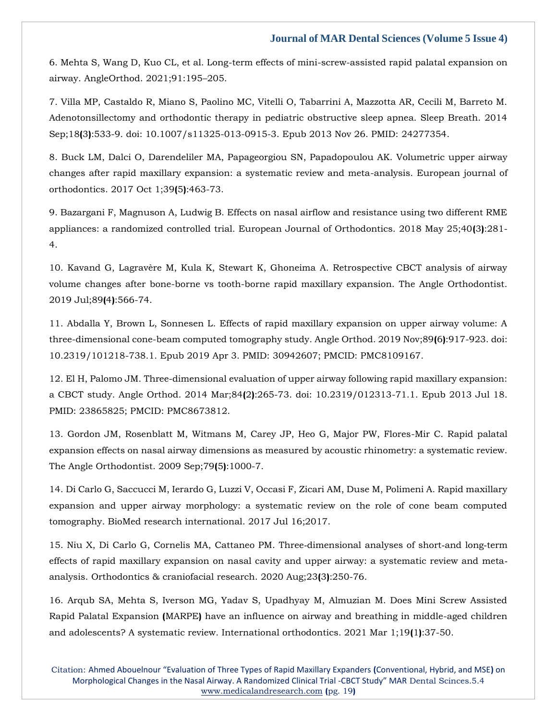6. [Mehta S, Wang D, Kuo CL, et al. Long-term effects of mini-screw-assisted rapid palatal expansion on](https://www.google.com/search?q=Long-term+effects+of+mini-screw-assisted+rapid+palatal+expansion+on+airway&sxsrf=ALiCzsa63zdB2S7rg3r8P-mZOBwIaR-9Fw%3A1651211714139&ei=wn1rYvWLCPyf4-EP2tSV8Ak&ved=0ahUKEwj19K39yrj3AhX8zzgGHVpqBZ4Q4dUDCA4&oq=Long-term+effects+of+mini-screw-assisted+rapid+palatal+expansion+on+airway&gs_lcp=Cgdnd3Mtd2l6EAw6BwgjEOoCECc6DQguEMcBENEDEOoCECdKBAhBGABKBAhGGABQiQZYiQZgpgloAXAAeACAAXSIAXSSAQMwLjGYAQCgAQGgAQKwAQrAAQE&sclient=gws-wiz)  [airway. AngleOrthod. 2021;91:195](https://www.google.com/search?q=Long-term+effects+of+mini-screw-assisted+rapid+palatal+expansion+on+airway&sxsrf=ALiCzsa63zdB2S7rg3r8P-mZOBwIaR-9Fw%3A1651211714139&ei=wn1rYvWLCPyf4-EP2tSV8Ak&ved=0ahUKEwj19K39yrj3AhX8zzgGHVpqBZ4Q4dUDCA4&oq=Long-term+effects+of+mini-screw-assisted+rapid+palatal+expansion+on+airway&gs_lcp=Cgdnd3Mtd2l6EAw6BwgjEOoCECc6DQguEMcBENEDEOoCECdKBAhBGABKBAhGGABQiQZYiQZgpgloAXAAeACAAXSIAXSSAQMwLjGYAQCgAQGgAQKwAQrAAQE&sclient=gws-wiz)–205.

7. Villa MP, Castaldo [R, Miano S, Paolino MC, Vitelli O, Tabarrini A, Mazzotta AR, Cecili M, Barreto M.](https://www.google.com/search?q=Adenotonsillectomy+and+orthodontic+therapy+in+pediatric+obstructive+sleep+apnea&sxsrf=ALiCzsa-xKPghHz-PZoGIW8nIHMwiP8oDA%3A1651211732804&ei=1H1rYtbnMObG4-EPmPC90AE&ved=0ahUKEwjWoaGGy7j3AhVm4zgGHRh4DxoQ4dUDCA4&oq=Adenotonsillectomy+and+orthodontic+therapy+in+pediatric+obstructive+sleep+apnea&gs_lcp=Cgdnd3Mtd2l6EAwyBggAEBYQHjoHCCMQ6gIQJzoNCC4QxwEQ0QMQ6gIQJ0oECEEYAEoECEYYAFDXA1jXA2CgB2gBcAF4AIABXYgBXZIBATGYAQCgAQGgAQKwAQrAAQE&sclient=gws-wiz)  [Adenotonsillectomy and orthodontic therapy in pediatric obstructive sleep apnea. Sleep Breath. 2014](https://www.google.com/search?q=Adenotonsillectomy+and+orthodontic+therapy+in+pediatric+obstructive+sleep+apnea&sxsrf=ALiCzsa-xKPghHz-PZoGIW8nIHMwiP8oDA%3A1651211732804&ei=1H1rYtbnMObG4-EPmPC90AE&ved=0ahUKEwjWoaGGy7j3AhVm4zgGHRh4DxoQ4dUDCA4&oq=Adenotonsillectomy+and+orthodontic+therapy+in+pediatric+obstructive+sleep+apnea&gs_lcp=Cgdnd3Mtd2l6EAwyBggAEBYQHjoHCCMQ6gIQJzoNCC4QxwEQ0QMQ6gIQJ0oECEEYAEoECEYYAFDXA1jXA2CgB2gBcAF4AIABXYgBXZIBATGYAQCgAQGgAQKwAQrAAQE&sclient=gws-wiz)  Sep;18**(**3**)**[:533-9. doi: 10.1007/s11325-013-0915-3. Epub 2013 Nov 26. PMID: 24277354.](https://www.google.com/search?q=Adenotonsillectomy+and+orthodontic+therapy+in+pediatric+obstructive+sleep+apnea&sxsrf=ALiCzsa-xKPghHz-PZoGIW8nIHMwiP8oDA%3A1651211732804&ei=1H1rYtbnMObG4-EPmPC90AE&ved=0ahUKEwjWoaGGy7j3AhVm4zgGHRh4DxoQ4dUDCA4&oq=Adenotonsillectomy+and+orthodontic+therapy+in+pediatric+obstructive+sleep+apnea&gs_lcp=Cgdnd3Mtd2l6EAwyBggAEBYQHjoHCCMQ6gIQJzoNCC4QxwEQ0QMQ6gIQJ0oECEEYAEoECEYYAFDXA1jXA2CgB2gBcAF4AIABXYgBXZIBATGYAQCgAQGgAQKwAQrAAQE&sclient=gws-wiz)

8. [Buck LM, Dalci O, Darendeliler MA, Papageorgiou SN, Papadopoulou AK. Volumetric upper airway](https://www.google.com/search?q=Volumetric+upper+airway+changes+after+rapid+maxillary+expansion%3A+a+systematic+review+and+meta-analysis.+European+journal+of+orthodontics.&sxsrf=ALiCzsZ_oxAmK5bpLBFRTAejk8DnYYDJzA%3A1651211761528&ei=8X1rYuPtH8SZ4-EPt5-gqAY&ved=0ahUKEwijqvqTy7j3AhXEzDgGHbcPCGUQ4dUDCA4&oq=Volumetric+upper+airway+changes+after+rapid+maxillary+expansion%3A+a+systematic+review+and+meta-analysis.+European+journal+of+orthodontics.&gs_lcp=Cgdnd3Mtd2l6EAwyBwgjEOoCECcyBwgjEOoCECcyBwgjEOoCECcyBwgjEOoCECcyBwgjEOoCECcyDQguEMcBENEDEOoCECcyBwgjEOoCECcyBwgjEOoCECcyBwgjEOoCECcyBwgjEOoCECdKBAhBGABKBAhGGABQkgNYkgNgsQdoAXAAeACAAQCIAQCSAQCYAQCgAQGgAQKwAQrAAQE&sclient=gws-wiz)  [changes after rapid maxillary expansion: a systematic review and meta-analysis. European journal of](https://www.google.com/search?q=Volumetric+upper+airway+changes+after+rapid+maxillary+expansion%3A+a+systematic+review+and+meta-analysis.+European+journal+of+orthodontics.&sxsrf=ALiCzsZ_oxAmK5bpLBFRTAejk8DnYYDJzA%3A1651211761528&ei=8X1rYuPtH8SZ4-EPt5-gqAY&ved=0ahUKEwijqvqTy7j3AhXEzDgGHbcPCGUQ4dUDCA4&oq=Volumetric+upper+airway+changes+after+rapid+maxillary+expansion%3A+a+systematic+review+and+meta-analysis.+European+journal+of+orthodontics.&gs_lcp=Cgdnd3Mtd2l6EAwyBwgjEOoCECcyBwgjEOoCECcyBwgjEOoCECcyBwgjEOoCECcyBwgjEOoCECcyDQguEMcBENEDEOoCECcyBwgjEOoCECcyBwgjEOoCECcyBwgjEOoCECcyBwgjEOoCECdKBAhBGABKBAhGGABQkgNYkgNgsQdoAXAAeACAAQCIAQCSAQCYAQCgAQGgAQKwAQrAAQE&sclient=gws-wiz)  [orthodontics. 2017 Oct 1;39](https://www.google.com/search?q=Volumetric+upper+airway+changes+after+rapid+maxillary+expansion%3A+a+systematic+review+and+meta-analysis.+European+journal+of+orthodontics.&sxsrf=ALiCzsZ_oxAmK5bpLBFRTAejk8DnYYDJzA%3A1651211761528&ei=8X1rYuPtH8SZ4-EPt5-gqAY&ved=0ahUKEwijqvqTy7j3AhXEzDgGHbcPCGUQ4dUDCA4&oq=Volumetric+upper+airway+changes+after+rapid+maxillary+expansion%3A+a+systematic+review+and+meta-analysis.+European+journal+of+orthodontics.&gs_lcp=Cgdnd3Mtd2l6EAwyBwgjEOoCECcyBwgjEOoCECcyBwgjEOoCECcyBwgjEOoCECcyBwgjEOoCECcyDQguEMcBENEDEOoCECcyBwgjEOoCECcyBwgjEOoCECcyBwgjEOoCECcyBwgjEOoCECdKBAhBGABKBAhGGABQkgNYkgNgsQdoAXAAeACAAQCIAQCSAQCYAQCgAQGgAQKwAQrAAQE&sclient=gws-wiz)**(**5**)**:463-73.

9. [Bazargani F, Magnuson A, Ludwig B. Effects on nasal airflow and resistance using two different RME](https://www.google.com/search?q=.+Effects+on+nasal+airflow+and+resistance+using+two+different+RME+appliances%3A+a+randomized+controlled+trial.+&sxsrf=ALiCzsbfkXZvx60IVla83tWjwipH1FbZ9w%3A1651211778493&ei=An5rYo7YHZ3F4-EP9q2RkAw&ved=0ahUKEwiO4YWcy7j3AhWd4jgGHfZWBMIQ4dUDCA4&oq=.+Effects+on+nasal+airflow+and+resistance+using+two+different+RME+appliances%3A+a+randomized+controlled+trial.+&gs_lcp=Cgdnd3Mtd2l6EAwyBwgjEOoCECcyBwgjEOoCECcyBwgjEOoCECcyBwgjEOoCECcyBwgjEOoCECcyBwgjEOoCECcyDQguEMcBENEDEOoCECcyBwgjEOoCECcyBwgjEOoCECcyBwgjEOoCECdKBAhBGABKBAhGGABQvQNYvQNgyghoAXAAeACAAQCIAQCSAQCYAQCgAQGgAQKwAQrAAQE&sclient=gws-wiz)  [appliances: a randomized controlled trial. European Journal of Orthodontics. 2018 May 25;40](https://www.google.com/search?q=.+Effects+on+nasal+airflow+and+resistance+using+two+different+RME+appliances%3A+a+randomized+controlled+trial.+&sxsrf=ALiCzsbfkXZvx60IVla83tWjwipH1FbZ9w%3A1651211778493&ei=An5rYo7YHZ3F4-EP9q2RkAw&ved=0ahUKEwiO4YWcy7j3AhWd4jgGHfZWBMIQ4dUDCA4&oq=.+Effects+on+nasal+airflow+and+resistance+using+two+different+RME+appliances%3A+a+randomized+controlled+trial.+&gs_lcp=Cgdnd3Mtd2l6EAwyBwgjEOoCECcyBwgjEOoCECcyBwgjEOoCECcyBwgjEOoCECcyBwgjEOoCECcyBwgjEOoCECcyDQguEMcBENEDEOoCECcyBwgjEOoCECcyBwgjEOoCECcyBwgjEOoCECdKBAhBGABKBAhGGABQvQNYvQNgyghoAXAAeACAAQCIAQCSAQCYAQCgAQGgAQKwAQrAAQE&sclient=gws-wiz)**(**3**)**:281- [4.](https://www.google.com/search?q=.+Effects+on+nasal+airflow+and+resistance+using+two+different+RME+appliances%3A+a+randomized+controlled+trial.+&sxsrf=ALiCzsbfkXZvx60IVla83tWjwipH1FbZ9w%3A1651211778493&ei=An5rYo7YHZ3F4-EP9q2RkAw&ved=0ahUKEwiO4YWcy7j3AhWd4jgGHfZWBMIQ4dUDCA4&oq=.+Effects+on+nasal+airflow+and+resistance+using+two+different+RME+appliances%3A+a+randomized+controlled+trial.+&gs_lcp=Cgdnd3Mtd2l6EAwyBwgjEOoCECcyBwgjEOoCECcyBwgjEOoCECcyBwgjEOoCECcyBwgjEOoCECcyBwgjEOoCECcyDQguEMcBENEDEOoCECcyBwgjEOoCECcyBwgjEOoCECcyBwgjEOoCECdKBAhBGABKBAhGGABQvQNYvQNgyghoAXAAeACAAQCIAQCSAQCYAQCgAQGgAQKwAQrAAQE&sclient=gws-wiz)

10. [Kavand G, Lagravère M, Kula K, Stewart K, Ghoneima A. Retrospective CBCT analysis of airway](https://www.google.com/search?q=.+Retrospective+CBCT+analysis+of+airway+volume+changes+after+bone-borne+vs+tooth-borne+rapid+maxillary+expansion&sxsrf=ALiCzsZ4vdRY0JkhIA24hAQG2DdJvG702g%3A1651211791264&ei=D35rYte9D7eW4-EP8pyhuAQ&ved=0ahUKEwiXgZGiy7j3AhU3yzgGHXJOCEcQ4dUDCA4&oq=.+Retrospective+CBCT+analysis+of+airway+volume+changes+after+bone-borne+vs+tooth-borne+rapid+maxillary+expansion&gs_lcp=Cgdnd3Mtd2l6EAwyBwgjEOoCECcyBwgjEOoCECcyBwgjEOoCECcyBwgjEOoCECcyBwgjEOoCECcyBwgjEOoCECcyDQguEMcBENEDEOoCECcyBwgjEOoCECcyBwgjEOoCECcyBwgjEOoCECdKBAhBGABKBAhGGABQjQNYjQNgqgdoAXAAeACAAQCIAQCSAQCYAQCgAQGgAQKwAQrAAQE&sclient=gws-wiz)  [volume changes after bone-borne vs tooth-borne rapid maxillary expansion. The Angle Orthodontist.](https://www.google.com/search?q=.+Retrospective+CBCT+analysis+of+airway+volume+changes+after+bone-borne+vs+tooth-borne+rapid+maxillary+expansion&sxsrf=ALiCzsZ4vdRY0JkhIA24hAQG2DdJvG702g%3A1651211791264&ei=D35rYte9D7eW4-EP8pyhuAQ&ved=0ahUKEwiXgZGiy7j3AhU3yzgGHXJOCEcQ4dUDCA4&oq=.+Retrospective+CBCT+analysis+of+airway+volume+changes+after+bone-borne+vs+tooth-borne+rapid+maxillary+expansion&gs_lcp=Cgdnd3Mtd2l6EAwyBwgjEOoCECcyBwgjEOoCECcyBwgjEOoCECcyBwgjEOoCECcyBwgjEOoCECcyBwgjEOoCECcyDQguEMcBENEDEOoCECcyBwgjEOoCECcyBwgjEOoCECcyBwgjEOoCECdKBAhBGABKBAhGGABQjQNYjQNgqgdoAXAAeACAAQCIAQCSAQCYAQCgAQGgAQKwAQrAAQE&sclient=gws-wiz)  [2019 Jul;89](https://www.google.com/search?q=.+Retrospective+CBCT+analysis+of+airway+volume+changes+after+bone-borne+vs+tooth-borne+rapid+maxillary+expansion&sxsrf=ALiCzsZ4vdRY0JkhIA24hAQG2DdJvG702g%3A1651211791264&ei=D35rYte9D7eW4-EP8pyhuAQ&ved=0ahUKEwiXgZGiy7j3AhU3yzgGHXJOCEcQ4dUDCA4&oq=.+Retrospective+CBCT+analysis+of+airway+volume+changes+after+bone-borne+vs+tooth-borne+rapid+maxillary+expansion&gs_lcp=Cgdnd3Mtd2l6EAwyBwgjEOoCECcyBwgjEOoCECcyBwgjEOoCECcyBwgjEOoCECcyBwgjEOoCECcyBwgjEOoCECcyDQguEMcBENEDEOoCECcyBwgjEOoCECcyBwgjEOoCECcyBwgjEOoCECdKBAhBGABKBAhGGABQjQNYjQNgqgdoAXAAeACAAQCIAQCSAQCYAQCgAQGgAQKwAQrAAQE&sclient=gws-wiz)**(**4**)**:566-74.

11. [Abdalla Y, Brown L, Sonnesen L. Effects of rapid maxillary expansion on upper airway volume: A](https://www.google.com/search?q=Effects+of+rapid+maxillary+expansion+on+upper+airway+volume%3A+A+three-dimensional+cone-beam+computed+tomography+study&sxsrf=ALiCzsakvLRZWZrzg6T6unpiBWbUkmZU_g%3A1651211803873&ei=G35rYrP6NIPG4-EP856_-Ac&ved=0ahUKEwjz85Koy7j3AhUD4zgGHXPPD38Q4dUDCA4&oq=Effects+of+rapid+maxillary+expansion+on+upper+airway+volume%3A+A+three-dimensional+cone-beam+computed+tomography+study&gs_lcp=Cgdnd3Mtd2l6EAwyBwgjEOoCECcyBwgjEOoCECcyBwgjEOoCECcyBwgjEOoCECcyBwgjEOoCECcyBwgjEOoCECcyDQguEMcBENEDEOoCECcyBwgjEOoCECcyBwgjEOoCECcyBwgjEOoCECdKBAhBGABKBAhGGABQyQJYyQJg_AZoAXAAeACAAQCIAQCSAQCYAQCgAQGgAQKwAQrAAQE&sclient=gws-wiz)  [three-dimensional cone-beam computed tomography study. Angle Orthod. 2019 Nov;89](https://www.google.com/search?q=Effects+of+rapid+maxillary+expansion+on+upper+airway+volume%3A+A+three-dimensional+cone-beam+computed+tomography+study&sxsrf=ALiCzsakvLRZWZrzg6T6unpiBWbUkmZU_g%3A1651211803873&ei=G35rYrP6NIPG4-EP856_-Ac&ved=0ahUKEwjz85Koy7j3AhUD4zgGHXPPD38Q4dUDCA4&oq=Effects+of+rapid+maxillary+expansion+on+upper+airway+volume%3A+A+three-dimensional+cone-beam+computed+tomography+study&gs_lcp=Cgdnd3Mtd2l6EAwyBwgjEOoCECcyBwgjEOoCECcyBwgjEOoCECcyBwgjEOoCECcyBwgjEOoCECcyBwgjEOoCECcyDQguEMcBENEDEOoCECcyBwgjEOoCECcyBwgjEOoCECcyBwgjEOoCECdKBAhBGABKBAhGGABQyQJYyQJg_AZoAXAAeACAAQCIAQCSAQCYAQCgAQGgAQKwAQrAAQE&sclient=gws-wiz)**(**6**)**:917-923. doi: [10.2319/101218-738.1. Epub 2019 Apr 3. PMID: 30942607; PMCID: PMC8109167.](https://www.google.com/search?q=Effects+of+rapid+maxillary+expansion+on+upper+airway+volume%3A+A+three-dimensional+cone-beam+computed+tomography+study&sxsrf=ALiCzsakvLRZWZrzg6T6unpiBWbUkmZU_g%3A1651211803873&ei=G35rYrP6NIPG4-EP856_-Ac&ved=0ahUKEwjz85Koy7j3AhUD4zgGHXPPD38Q4dUDCA4&oq=Effects+of+rapid+maxillary+expansion+on+upper+airway+volume%3A+A+three-dimensional+cone-beam+computed+tomography+study&gs_lcp=Cgdnd3Mtd2l6EAwyBwgjEOoCECcyBwgjEOoCECcyBwgjEOoCECcyBwgjEOoCECcyBwgjEOoCECcyBwgjEOoCECcyDQguEMcBENEDEOoCECcyBwgjEOoCECcyBwgjEOoCECcyBwgjEOoCECdKBAhBGABKBAhGGABQyQJYyQJg_AZoAXAAeACAAQCIAQCSAQCYAQCgAQGgAQKwAQrAAQE&sclient=gws-wiz)

12. [El H, Palomo JM. Three-dimensional evaluation of upper airway following rapid maxillary expansion:](https://www.google.com/search?q=Three-dimensional+evaluation+of+upper+airway+following+rapid+maxillary+expansion%3A+a+CBCT+study.+&sxsrf=ALiCzsZMR7khXA2ZmTjJz6IIj8h-96M5sA%3A1651211816041&ei=KH5rYv6TAree4-EPppC34Aw&ved=0ahUKEwj-x_mty7j3AhU3zzgGHSbIDcwQ4dUDCA4&oq=Three-dimensional+evaluation+of+upper+airway+following+rapid+maxillary+expansion%3A+a+CBCT+study.+&gs_lcp=Cgdnd3Mtd2l6EAw6BwgjEOoCECc6DQguEMcBENEDEOoCECdKBAhBGABKBAhGGABQsQdYsQdgmAxoAXAAeACAAVmIAVmSAQExmAEAoAEBoAECsAEKwAEB&sclient=gws-wiz)  a CBCT study. Angle Orthod. 2014 Mar;84**(**2**)**[:265-73. doi: 10.2319/012313-71.1. Epub 2013 Jul 18.](https://www.google.com/search?q=Three-dimensional+evaluation+of+upper+airway+following+rapid+maxillary+expansion%3A+a+CBCT+study.+&sxsrf=ALiCzsZMR7khXA2ZmTjJz6IIj8h-96M5sA%3A1651211816041&ei=KH5rYv6TAree4-EPppC34Aw&ved=0ahUKEwj-x_mty7j3AhU3zzgGHSbIDcwQ4dUDCA4&oq=Three-dimensional+evaluation+of+upper+airway+following+rapid+maxillary+expansion%3A+a+CBCT+study.+&gs_lcp=Cgdnd3Mtd2l6EAw6BwgjEOoCECc6DQguEMcBENEDEOoCECdKBAhBGABKBAhGGABQsQdYsQdgmAxoAXAAeACAAVmIAVmSAQExmAEAoAEBoAECsAEKwAEB&sclient=gws-wiz)  [PMID: 23865825; PMCID: PMC8673812.](https://www.google.com/search?q=Three-dimensional+evaluation+of+upper+airway+following+rapid+maxillary+expansion%3A+a+CBCT+study.+&sxsrf=ALiCzsZMR7khXA2ZmTjJz6IIj8h-96M5sA%3A1651211816041&ei=KH5rYv6TAree4-EPppC34Aw&ved=0ahUKEwj-x_mty7j3AhU3zzgGHSbIDcwQ4dUDCA4&oq=Three-dimensional+evaluation+of+upper+airway+following+rapid+maxillary+expansion%3A+a+CBCT+study.+&gs_lcp=Cgdnd3Mtd2l6EAw6BwgjEOoCECc6DQguEMcBENEDEOoCECdKBAhBGABKBAhGGABQsQdYsQdgmAxoAXAAeACAAVmIAVmSAQExmAEAoAEBoAECsAEKwAEB&sclient=gws-wiz)

13. [Gordon JM, Rosenblatt M, Witmans M, Carey JP, Heo G, Major PW, Flores-Mir C. Rapid palatal](https://www.google.com/search?q=Rapid+palatal+expansion+effects+on+nasal+airway+dimensions+as+measured+by+acoustic+rhinometry%3A+a+systematic+review.+&sxsrf=ALiCzsZHcQFB-5kzKLCK10AZFVZF2HaMXw%3A1651211830905&ei=Nn5rYs3nNr-X4-EPjeeWmAg&ved=0ahUKEwjN2oS1y7j3AhW_yzgGHY2zBYMQ4dUDCA4&oq=Rapid+palatal+expansion+effects+on+nasal+airway+dimensions+as+measured+by+acoustic+rhinometry%3A+a+systematic+review.+&gs_lcp=Cgdnd3Mtd2l6EAwyBwgjEOoCECcyBwgjEOoCECcyBwgjEOoCECcyBwgjEOoCECcyBwgjEOoCECcyBwgjEOoCECcyDQguEMcBENEDEOoCECcyBwgjEOoCECcyBwgjEOoCECcyBwgjEOoCECdKBAhBGABKBAhGGABQhgZYhgZg3gloAXAAeACAAQCIAQCSAQCYAQCgAQGgAQKwAQrAAQE&sclient=gws-wiz)  [expansion effects on nasal airway dimensions as measured by acoustic rhinometry: a systematic review.](https://www.google.com/search?q=Rapid+palatal+expansion+effects+on+nasal+airway+dimensions+as+measured+by+acoustic+rhinometry%3A+a+systematic+review.+&sxsrf=ALiCzsZHcQFB-5kzKLCK10AZFVZF2HaMXw%3A1651211830905&ei=Nn5rYs3nNr-X4-EPjeeWmAg&ved=0ahUKEwjN2oS1y7j3AhW_yzgGHY2zBYMQ4dUDCA4&oq=Rapid+palatal+expansion+effects+on+nasal+airway+dimensions+as+measured+by+acoustic+rhinometry%3A+a+systematic+review.+&gs_lcp=Cgdnd3Mtd2l6EAwyBwgjEOoCECcyBwgjEOoCECcyBwgjEOoCECcyBwgjEOoCECcyBwgjEOoCECcyBwgjEOoCECcyDQguEMcBENEDEOoCECcyBwgjEOoCECcyBwgjEOoCECcyBwgjEOoCECdKBAhBGABKBAhGGABQhgZYhgZg3gloAXAAeACAAQCIAQCSAQCYAQCgAQGgAQKwAQrAAQE&sclient=gws-wiz)  [The Angle Orthodontist. 2009 Sep;79](https://www.google.com/search?q=Rapid+palatal+expansion+effects+on+nasal+airway+dimensions+as+measured+by+acoustic+rhinometry%3A+a+systematic+review.+&sxsrf=ALiCzsZHcQFB-5kzKLCK10AZFVZF2HaMXw%3A1651211830905&ei=Nn5rYs3nNr-X4-EPjeeWmAg&ved=0ahUKEwjN2oS1y7j3AhW_yzgGHY2zBYMQ4dUDCA4&oq=Rapid+palatal+expansion+effects+on+nasal+airway+dimensions+as+measured+by+acoustic+rhinometry%3A+a+systematic+review.+&gs_lcp=Cgdnd3Mtd2l6EAwyBwgjEOoCECcyBwgjEOoCECcyBwgjEOoCECcyBwgjEOoCECcyBwgjEOoCECcyBwgjEOoCECcyDQguEMcBENEDEOoCECcyBwgjEOoCECcyBwgjEOoCECcyBwgjEOoCECdKBAhBGABKBAhGGABQhgZYhgZg3gloAXAAeACAAQCIAQCSAQCYAQCgAQGgAQKwAQrAAQE&sclient=gws-wiz)**(**5**)**:1000-7.

14. [Di Carlo G, Saccucci M, Ierardo G, Luzzi V, Occasi F, Zicari AM, Duse M, Polimeni A. Rapid maxillary](https://www.google.com/search?q=Rapid+maxillary+expansion+and+upper+airway+morphology%3A+a+systematic+review+on+the+role+of+cone+beam+computed+tomography.&sxsrf=ALiCzsZ519RlIulAE8hqZil14y_dCrUE1Q%3A1651211848601&ei=SH5rYsWfJL-a4-EPoMG32A8&ved=0ahUKEwjF47y9y7j3AhU_zTgGHaDgDfsQ4dUDCA4&oq=Rapid+maxillary+expansion+and+upper+airway+morphology%3A+a+systematic+review+on+the+role+of+cone+beam+computed+tomography.&gs_lcp=Cgdnd3Mtd2l6EAwyBwgjEOoCECcyBwgjEOoCECcyBwgjEOoCECcyBwgjEOoCECcyBwgjEOoCECcyBwgjEOoCECcyBwgjEOoCECcyDQguEMcBENEDEOoCECcyBwgjEOoCECcyBwgjEOoCECdKBAhBGABKBAhGGABQmgRYmgRghQloAXAAeACAAQCIAQCSAQCYAQCgAQGgAQKwAQrAAQE&sclient=gws-wiz)  [expansion and upper airway morphology: a systematic review on the role of cone beam computed](https://www.google.com/search?q=Rapid+maxillary+expansion+and+upper+airway+morphology%3A+a+systematic+review+on+the+role+of+cone+beam+computed+tomography.&sxsrf=ALiCzsZ519RlIulAE8hqZil14y_dCrUE1Q%3A1651211848601&ei=SH5rYsWfJL-a4-EPoMG32A8&ved=0ahUKEwjF47y9y7j3AhU_zTgGHaDgDfsQ4dUDCA4&oq=Rapid+maxillary+expansion+and+upper+airway+morphology%3A+a+systematic+review+on+the+role+of+cone+beam+computed+tomography.&gs_lcp=Cgdnd3Mtd2l6EAwyBwgjEOoCECcyBwgjEOoCECcyBwgjEOoCECcyBwgjEOoCECcyBwgjEOoCECcyBwgjEOoCECcyBwgjEOoCECcyDQguEMcBENEDEOoCECcyBwgjEOoCECcyBwgjEOoCECdKBAhBGABKBAhGGABQmgRYmgRghQloAXAAeACAAQCIAQCSAQCYAQCgAQGgAQKwAQrAAQE&sclient=gws-wiz)  [tomography. BioMed research international. 2017 Jul 16;2017.](https://www.google.com/search?q=Rapid+maxillary+expansion+and+upper+airway+morphology%3A+a+systematic+review+on+the+role+of+cone+beam+computed+tomography.&sxsrf=ALiCzsZ519RlIulAE8hqZil14y_dCrUE1Q%3A1651211848601&ei=SH5rYsWfJL-a4-EPoMG32A8&ved=0ahUKEwjF47y9y7j3AhU_zTgGHaDgDfsQ4dUDCA4&oq=Rapid+maxillary+expansion+and+upper+airway+morphology%3A+a+systematic+review+on+the+role+of+cone+beam+computed+tomography.&gs_lcp=Cgdnd3Mtd2l6EAwyBwgjEOoCECcyBwgjEOoCECcyBwgjEOoCECcyBwgjEOoCECcyBwgjEOoCECcyBwgjEOoCECcyBwgjEOoCECcyDQguEMcBENEDEOoCECcyBwgjEOoCECcyBwgjEOoCECdKBAhBGABKBAhGGABQmgRYmgRghQloAXAAeACAAQCIAQCSAQCYAQCgAQGgAQKwAQrAAQE&sclient=gws-wiz)

15. [Niu X, Di Carlo G, Cornelis MA, Cattaneo PM. Three](https://www.google.com/search?q=Three%E2%80%90dimensional+analyses+of+short%E2%80%90and+long%E2%80%90term+effects+of+rapid+maxillary+expansion+on+nasal+cavity+and+upper+airway%3A+a+systematic+review+and+meta%E2%80%90analysis.&sxsrf=ALiCzsYSSQMeE_LxQxtR4-IqLX2CrZZung%3A1651211864806&ei=WH5rYtPiMLSY4-EP0ru3-As&ved=0ahUKEwjT7pnFy7j3AhU0zDgGHdLdDb8Q4dUDCA4&oq=Three%E2%80%90dimensional+analyses+of+short%E2%80%90and+long%E2%80%90term+effects+of+rapid+maxillary+expansion+on+nasal+cavity+and+upper+airway%3A+a+systematic+review+and+meta%E2%80%90analysis.&gs_lcp=Cgdnd3Mtd2l6EAwyBwgjEOoCECcyBwgjEOoCECcyBwgjEOoCECcyBwgjEOoCECcyBwgjEOoCECcyBwgjEOoCECcyBwgjEOoCECcyBwgjEOoCECcyDQguEMcBENEDEOoCECcyBwgjEOoCECdKBAhBGABKBAhGGABQhANYhANgvwdoAXAAeACAAQCIAQCSAQCYAQCgAQGgAQKwAQrAAQE&sclient=gws-wiz)‐dimensional analyses of short‐and long‐term [effects of rapid maxillary expansion on nasal cavity and upper airway: a systematic review and meta](https://www.google.com/search?q=Three%E2%80%90dimensional+analyses+of+short%E2%80%90and+long%E2%80%90term+effects+of+rapid+maxillary+expansion+on+nasal+cavity+and+upper+airway%3A+a+systematic+review+and+meta%E2%80%90analysis.&sxsrf=ALiCzsYSSQMeE_LxQxtR4-IqLX2CrZZung%3A1651211864806&ei=WH5rYtPiMLSY4-EP0ru3-As&ved=0ahUKEwjT7pnFy7j3AhU0zDgGHdLdDb8Q4dUDCA4&oq=Three%E2%80%90dimensional+analyses+of+short%E2%80%90and+long%E2%80%90term+effects+of+rapid+maxillary+expansion+on+nasal+cavity+and+upper+airway%3A+a+systematic+review+and+meta%E2%80%90analysis.&gs_lcp=Cgdnd3Mtd2l6EAwyBwgjEOoCECcyBwgjEOoCECcyBwgjEOoCECcyBwgjEOoCECcyBwgjEOoCECcyBwgjEOoCECcyBwgjEOoCECcyBwgjEOoCECcyDQguEMcBENEDEOoCECcyBwgjEOoCECdKBAhBGABKBAhGGABQhANYhANgvwdoAXAAeACAAQCIAQCSAQCYAQCgAQGgAQKwAQrAAQE&sclient=gws-wiz)‐ [analysis. Orthodontics & craniofacial research. 2020 Aug;23](https://www.google.com/search?q=Three%E2%80%90dimensional+analyses+of+short%E2%80%90and+long%E2%80%90term+effects+of+rapid+maxillary+expansion+on+nasal+cavity+and+upper+airway%3A+a+systematic+review+and+meta%E2%80%90analysis.&sxsrf=ALiCzsYSSQMeE_LxQxtR4-IqLX2CrZZung%3A1651211864806&ei=WH5rYtPiMLSY4-EP0ru3-As&ved=0ahUKEwjT7pnFy7j3AhU0zDgGHdLdDb8Q4dUDCA4&oq=Three%E2%80%90dimensional+analyses+of+short%E2%80%90and+long%E2%80%90term+effects+of+rapid+maxillary+expansion+on+nasal+cavity+and+upper+airway%3A+a+systematic+review+and+meta%E2%80%90analysis.&gs_lcp=Cgdnd3Mtd2l6EAwyBwgjEOoCECcyBwgjEOoCECcyBwgjEOoCECcyBwgjEOoCECcyBwgjEOoCECcyBwgjEOoCECcyBwgjEOoCECcyBwgjEOoCECcyDQguEMcBENEDEOoCECcyBwgjEOoCECdKBAhBGABKBAhGGABQhANYhANgvwdoAXAAeACAAQCIAQCSAQCYAQCgAQGgAQKwAQrAAQE&sclient=gws-wiz)**(**3**)**:250-76.

16. [Arqub SA, Mehta S, Iverson MG, Yadav S, Upadhyay M, Almuzian M. Does Mini Screw Assisted](https://www.google.com/search?q=Does+Mini+Screw+Assisted+Rapid+Palatal+Expansion+%28MARPE%29+have+an+influence+on+airway+and+breathing+in+middle-aged+children+and+adolescents%3F+A+systematic+review&sxsrf=ALiCzsbGjb7w42UbiFlKNlkwQZMCLCCAKw%3A1651211884748&ei=bH5rYvuTLdae4-EP2bWJaA&ved=0ahUKEwj7-drOy7j3AhVWzzgGHdlaAg0Q4dUDCA4&oq=Does+Mini+Screw+Assisted+Rapid+Palatal+Expansion+%28MARPE%29+have+an+influence+on+airway+and+breathing+in+middle-aged+children+and+adolescents%3F+A+systematic+review&gs_lcp=Cgdnd3Mtd2l6EAwyBwgjEOoCECcyBwgjEOoCECcyBwgjEOoCECcyBwgjEOoCECcyBwgjEOoCECcyBwgjEOoCECcyBwgjEOoCECcyBwgjEOoCECcyBwgjEOoCECcyDQguEMcBENEDEOoCECdKBAhBGABKBAhGGABQ9QNY9QNg2AdoAXAAeACAAQCIAQCSAQCYAQCgAQGgAQKwAQrAAQE&sclient=gws-wiz)  Rapid Palatal Expansion **(**MARPE**)** [have an influence on airway and breathing in middle-aged children](https://www.google.com/search?q=Does+Mini+Screw+Assisted+Rapid+Palatal+Expansion+%28MARPE%29+have+an+influence+on+airway+and+breathing+in+middle-aged+children+and+adolescents%3F+A+systematic+review&sxsrf=ALiCzsbGjb7w42UbiFlKNlkwQZMCLCCAKw%3A1651211884748&ei=bH5rYvuTLdae4-EP2bWJaA&ved=0ahUKEwj7-drOy7j3AhVWzzgGHdlaAg0Q4dUDCA4&oq=Does+Mini+Screw+Assisted+Rapid+Palatal+Expansion+%28MARPE%29+have+an+influence+on+airway+and+breathing+in+middle-aged+children+and+adolescents%3F+A+systematic+review&gs_lcp=Cgdnd3Mtd2l6EAwyBwgjEOoCECcyBwgjEOoCECcyBwgjEOoCECcyBwgjEOoCECcyBwgjEOoCECcyBwgjEOoCECcyBwgjEOoCECcyBwgjEOoCECcyBwgjEOoCECcyDQguEMcBENEDEOoCECdKBAhBGABKBAhGGABQ9QNY9QNg2AdoAXAAeACAAQCIAQCSAQCYAQCgAQGgAQKwAQrAAQE&sclient=gws-wiz)  [and adolescents? A systematic review. International orthodontics. 2021 Mar 1;19](https://www.google.com/search?q=Does+Mini+Screw+Assisted+Rapid+Palatal+Expansion+%28MARPE%29+have+an+influence+on+airway+and+breathing+in+middle-aged+children+and+adolescents%3F+A+systematic+review&sxsrf=ALiCzsbGjb7w42UbiFlKNlkwQZMCLCCAKw%3A1651211884748&ei=bH5rYvuTLdae4-EP2bWJaA&ved=0ahUKEwj7-drOy7j3AhVWzzgGHdlaAg0Q4dUDCA4&oq=Does+Mini+Screw+Assisted+Rapid+Palatal+Expansion+%28MARPE%29+have+an+influence+on+airway+and+breathing+in+middle-aged+children+and+adolescents%3F+A+systematic+review&gs_lcp=Cgdnd3Mtd2l6EAwyBwgjEOoCECcyBwgjEOoCECcyBwgjEOoCECcyBwgjEOoCECcyBwgjEOoCECcyBwgjEOoCECcyBwgjEOoCECcyBwgjEOoCECcyBwgjEOoCECcyDQguEMcBENEDEOoCECdKBAhBGABKBAhGGABQ9QNY9QNg2AdoAXAAeACAAQCIAQCSAQCYAQCgAQGgAQKwAQrAAQE&sclient=gws-wiz)**(**1**)**:37-50.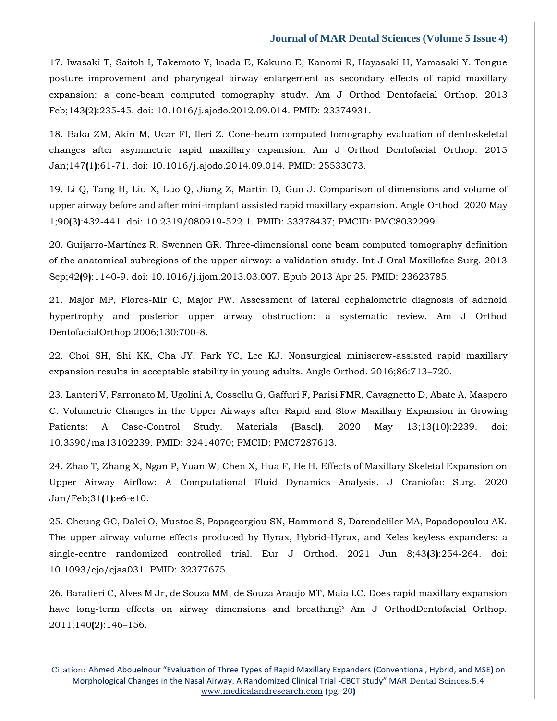17. [Iwasaki T, Saitoh I, Takemoto Y, Inada E, Kakuno E, Kanomi R, Hayasaki H, Yamasaki Y. Tongue](https://www.google.com/search?q=Tongue+posture+improvement+and+pharyngeal+airway+enlargement+as+secondary+effects+of+rapid+maxillary+expansion%3A+a+cone-beam+computed+tomography+study&sxsrf=ALiCzsYW0_RsS4Th7KBxaO_Sd414UIsZCw%3A1651211899332&ei=e35rYs_2E8iY4-EPyOmJwAM&ved=0ahUKEwiPoNXVy7j3AhVIzDgGHch0AjgQ4dUDCA4&oq=Tongue+posture+improvement+and+pharyngeal+airway+enlargement+as+secondary+effects+of+rapid+maxillary+expansion%3A+a+cone-beam+computed+tomography+study&gs_lcp=Cgdnd3Mtd2l6EAwyBwgjEOoCECcyBwgjEOoCECcyBwgjEOoCECcyBwgjEOoCECcyBwgjEOoCECcyBwgjEOoCECcyBwgjEOoCECcyBwgjEOoCECcyDQguEMcBENEDEOoCECcyBwgjEOoCECdKBAhBGABKBAhGGABQ2wJY2wJgsQdoAXABeACAAQCIAQCSAQCYAQCgAQGgAQKwAQrAAQE&sclient=gws-wiz)  [posture improvement and pharyngeal airway enlargement as secondary effects of rapid maxillary](https://www.google.com/search?q=Tongue+posture+improvement+and+pharyngeal+airway+enlargement+as+secondary+effects+of+rapid+maxillary+expansion%3A+a+cone-beam+computed+tomography+study&sxsrf=ALiCzsYW0_RsS4Th7KBxaO_Sd414UIsZCw%3A1651211899332&ei=e35rYs_2E8iY4-EPyOmJwAM&ved=0ahUKEwiPoNXVy7j3AhVIzDgGHch0AjgQ4dUDCA4&oq=Tongue+posture+improvement+and+pharyngeal+airway+enlargement+as+secondary+effects+of+rapid+maxillary+expansion%3A+a+cone-beam+computed+tomography+study&gs_lcp=Cgdnd3Mtd2l6EAwyBwgjEOoCECcyBwgjEOoCECcyBwgjEOoCECcyBwgjEOoCECcyBwgjEOoCECcyBwgjEOoCECcyBwgjEOoCECcyBwgjEOoCECcyDQguEMcBENEDEOoCECcyBwgjEOoCECdKBAhBGABKBAhGGABQ2wJY2wJgsQdoAXABeACAAQCIAQCSAQCYAQCgAQGgAQKwAQrAAQE&sclient=gws-wiz)  [expansion: a cone-beam computed tomography study. Am J Orthod Dentofacial Orthop. 2013](https://www.google.com/search?q=Tongue+posture+improvement+and+pharyngeal+airway+enlargement+as+secondary+effects+of+rapid+maxillary+expansion%3A+a+cone-beam+computed+tomography+study&sxsrf=ALiCzsYW0_RsS4Th7KBxaO_Sd414UIsZCw%3A1651211899332&ei=e35rYs_2E8iY4-EPyOmJwAM&ved=0ahUKEwiPoNXVy7j3AhVIzDgGHch0AjgQ4dUDCA4&oq=Tongue+posture+improvement+and+pharyngeal+airway+enlargement+as+secondary+effects+of+rapid+maxillary+expansion%3A+a+cone-beam+computed+tomography+study&gs_lcp=Cgdnd3Mtd2l6EAwyBwgjEOoCECcyBwgjEOoCECcyBwgjEOoCECcyBwgjEOoCECcyBwgjEOoCECcyBwgjEOoCECcyBwgjEOoCECcyBwgjEOoCECcyDQguEMcBENEDEOoCECcyBwgjEOoCECdKBAhBGABKBAhGGABQ2wJY2wJgsQdoAXABeACAAQCIAQCSAQCYAQCgAQGgAQKwAQrAAQE&sclient=gws-wiz)  Feb;143**(**2**)**[:235-45. doi: 10.1016/j.ajodo.2012.09.014. PMID: 23374931.](https://www.google.com/search?q=Tongue+posture+improvement+and+pharyngeal+airway+enlargement+as+secondary+effects+of+rapid+maxillary+expansion%3A+a+cone-beam+computed+tomography+study&sxsrf=ALiCzsYW0_RsS4Th7KBxaO_Sd414UIsZCw%3A1651211899332&ei=e35rYs_2E8iY4-EPyOmJwAM&ved=0ahUKEwiPoNXVy7j3AhVIzDgGHch0AjgQ4dUDCA4&oq=Tongue+posture+improvement+and+pharyngeal+airway+enlargement+as+secondary+effects+of+rapid+maxillary+expansion%3A+a+cone-beam+computed+tomography+study&gs_lcp=Cgdnd3Mtd2l6EAwyBwgjEOoCECcyBwgjEOoCECcyBwgjEOoCECcyBwgjEOoCECcyBwgjEOoCECcyBwgjEOoCECcyBwgjEOoCECcyBwgjEOoCECcyDQguEMcBENEDEOoCECcyBwgjEOoCECdKBAhBGABKBAhGGABQ2wJY2wJgsQdoAXABeACAAQCIAQCSAQCYAQCgAQGgAQKwAQrAAQE&sclient=gws-wiz)

18. Baka ZM, Akin M, Ucar [FI, Ileri Z. Cone-beam computed tomography evaluation of dentoskeletal](https://www.google.com/search?q=Cone-beam+computed+tomography+evaluation+of+dentoskeletal+changes+after+asymmetric+rapid+maxillary+expansion.+&sxsrf=ALiCzsbK3_3sw8E5mQOrt7sAQ7EcrkCpkQ%3A1651211914526&ei=in5rYrPcH_ma4-EPnfSNsAY&ved=0ahUKEwizyfTcy7j3AhV5zTgGHR16A2YQ4dUDCA4&oq=Cone-beam+computed+tomography+evaluation+of+dentoskeletal+changes+after+asymmetric+rapid+maxillary+expansion.+&gs_lcp=Cgdnd3Mtd2l6EAwyBwgjEOoCECcyBwgjEOoCECcyBwgjEOoCECcyBwgjEOoCECcyBwgjEOoCECcyBwgjEOoCECcyBwgjEOoCECcyBwgjEOoCECcyBwgjEOoCECcyDQguEMcBENEDEOoCECdKBAhBGABKBAhGGABQ9QJY9QJgxQZoAXAAeACAAQCIAQCSAQCYAQCgAQGgAQKwAQrAAQE&sclient=gws-wiz)  [changes after asymmetric rapid maxillary expansion. Am J Orthod Dentofacial Orthop. 2015](https://www.google.com/search?q=Cone-beam+computed+tomography+evaluation+of+dentoskeletal+changes+after+asymmetric+rapid+maxillary+expansion.+&sxsrf=ALiCzsbK3_3sw8E5mQOrt7sAQ7EcrkCpkQ%3A1651211914526&ei=in5rYrPcH_ma4-EPnfSNsAY&ved=0ahUKEwizyfTcy7j3AhV5zTgGHR16A2YQ4dUDCA4&oq=Cone-beam+computed+tomography+evaluation+of+dentoskeletal+changes+after+asymmetric+rapid+maxillary+expansion.+&gs_lcp=Cgdnd3Mtd2l6EAwyBwgjEOoCECcyBwgjEOoCECcyBwgjEOoCECcyBwgjEOoCECcyBwgjEOoCECcyBwgjEOoCECcyBwgjEOoCECcyBwgjEOoCECcyBwgjEOoCECcyDQguEMcBENEDEOoCECdKBAhBGABKBAhGGABQ9QJY9QJgxQZoAXAAeACAAQCIAQCSAQCYAQCgAQGgAQKwAQrAAQE&sclient=gws-wiz)  Jan;147**(**1**)**[:61-71. doi: 10.1016/j.ajodo.2014.09.014. PMID: 25533073.](https://www.google.com/search?q=Cone-beam+computed+tomography+evaluation+of+dentoskeletal+changes+after+asymmetric+rapid+maxillary+expansion.+&sxsrf=ALiCzsbK3_3sw8E5mQOrt7sAQ7EcrkCpkQ%3A1651211914526&ei=in5rYrPcH_ma4-EPnfSNsAY&ved=0ahUKEwizyfTcy7j3AhV5zTgGHR16A2YQ4dUDCA4&oq=Cone-beam+computed+tomography+evaluation+of+dentoskeletal+changes+after+asymmetric+rapid+maxillary+expansion.+&gs_lcp=Cgdnd3Mtd2l6EAwyBwgjEOoCECcyBwgjEOoCECcyBwgjEOoCECcyBwgjEOoCECcyBwgjEOoCECcyBwgjEOoCECcyBwgjEOoCECcyBwgjEOoCECcyBwgjEOoCECcyDQguEMcBENEDEOoCECdKBAhBGABKBAhGGABQ9QJY9QJgxQZoAXAAeACAAQCIAQCSAQCYAQCgAQGgAQKwAQrAAQE&sclient=gws-wiz)

19. [Li Q, Tang H, Liu X, Luo Q, Jiang Z, Martin D, Guo J. Comparison of dimensions and volume of](https://www.google.com/search?q=Comparison+of+dimensions+and+volume+of+upper+airway+before+and+after+mini-implant+assisted+rapid+maxillary+expansion.&sxsrf=ALiCzsbf64ao50MlZaTF8VHnTDqT8slHxA%3A1651211930404&ei=mn5rYsehGOGe4-EP-rKpkA4&ved=0ahUKEwjH1r3ky7j3AhVhzzgGHXpZCuIQ4dUDCA4&oq=Comparison+of+dimensions+and+volume+of+upper+airway+before+and+after+mini-implant+assisted+rapid+maxillary+expansion.&gs_lcp=Cgdnd3Mtd2l6EAwyBwgjEOoCECcyBwgjEOoCECcyBwgjEOoCECcyBwgjEOoCECcyBwgjEOoCECcyBwgjEOoCECcyBwgjEOoCECcyBwgjEOoCECcyBwgjEOoCECcyBwgjEOoCECdKBAhBGABKBAhGGABQ8gJY8gJgvAdoAXAAeACAAQCIAQCSAQCYAQCgAQGgAQKwAQrAAQE&sclient=gws-wiz)  [upper airway before and after mini-implant assisted rapid maxillary expansion. Angle Orthod. 2020 May](https://www.google.com/search?q=Comparison+of+dimensions+and+volume+of+upper+airway+before+and+after+mini-implant+assisted+rapid+maxillary+expansion.&sxsrf=ALiCzsbf64ao50MlZaTF8VHnTDqT8slHxA%3A1651211930404&ei=mn5rYsehGOGe4-EP-rKpkA4&ved=0ahUKEwjH1r3ky7j3AhVhzzgGHXpZCuIQ4dUDCA4&oq=Comparison+of+dimensions+and+volume+of+upper+airway+before+and+after+mini-implant+assisted+rapid+maxillary+expansion.&gs_lcp=Cgdnd3Mtd2l6EAwyBwgjEOoCECcyBwgjEOoCECcyBwgjEOoCECcyBwgjEOoCECcyBwgjEOoCECcyBwgjEOoCECcyBwgjEOoCECcyBwgjEOoCECcyBwgjEOoCECcyBwgjEOoCECdKBAhBGABKBAhGGABQ8gJY8gJgvAdoAXAAeACAAQCIAQCSAQCYAQCgAQGgAQKwAQrAAQE&sclient=gws-wiz)  1;90**(**3**)**[:432-441. doi: 10.2319/080919-522.1. PMID: 33378437; PMCID: PMC8032299.](https://www.google.com/search?q=Comparison+of+dimensions+and+volume+of+upper+airway+before+and+after+mini-implant+assisted+rapid+maxillary+expansion.&sxsrf=ALiCzsbf64ao50MlZaTF8VHnTDqT8slHxA%3A1651211930404&ei=mn5rYsehGOGe4-EP-rKpkA4&ved=0ahUKEwjH1r3ky7j3AhVhzzgGHXpZCuIQ4dUDCA4&oq=Comparison+of+dimensions+and+volume+of+upper+airway+before+and+after+mini-implant+assisted+rapid+maxillary+expansion.&gs_lcp=Cgdnd3Mtd2l6EAwyBwgjEOoCECcyBwgjEOoCECcyBwgjEOoCECcyBwgjEOoCECcyBwgjEOoCECcyBwgjEOoCECcyBwgjEOoCECcyBwgjEOoCECcyBwgjEOoCECcyBwgjEOoCECdKBAhBGABKBAhGGABQ8gJY8gJgvAdoAXAAeACAAQCIAQCSAQCYAQCgAQGgAQKwAQrAAQE&sclient=gws-wiz)

20. [Guijarro-Martínez R, Swennen GR. Three-dimensional cone beam computed tomography definition](https://www.google.com/search?q=Three-dimensional+cone+beam+computed+tomography+definition+of+the+anatomical+subregions+of+the+upper+airway%3A+a+validation+study&sxsrf=ALiCzsbWNm176NrIbqdfSMhwNkPBvqqZAQ%3A1651211946080&ei=qn5rYqnKBLmG4-EPweGC8AI&ved=0ahUKEwipx_rry7j3AhU5wzgGHcGwAC4Q4dUDCA4&oq=Three-dimensional+cone+beam+computed+tomography+definition+of+the+anatomical+subregions+of+the+upper+airway%3A+a+validation+study&gs_lcp=Cgdnd3Mtd2l6EAwyBwgjEOoCECcyBwgjEOoCECcyBwgjEOoCECcyBwgjEOoCECcyBwgjEOoCECcyBwgjEOoCECcyBwgjEOoCECcyBwgjEOoCECcyBwgjEOoCECcyBwgjEOoCECdKBAhBGABKBAhGGABQzQNYzQNgwgdoAXAAeACAAQCIAQCSAQCYAQCgAQGgAQKwAQrAAQE&sclient=gws-wiz)  [of the anatomical subregions of the upper airway: a validation study. Int J Oral Maxillofac Surg. 2013](https://www.google.com/search?q=Three-dimensional+cone+beam+computed+tomography+definition+of+the+anatomical+subregions+of+the+upper+airway%3A+a+validation+study&sxsrf=ALiCzsbWNm176NrIbqdfSMhwNkPBvqqZAQ%3A1651211946080&ei=qn5rYqnKBLmG4-EPweGC8AI&ved=0ahUKEwipx_rry7j3AhU5wzgGHcGwAC4Q4dUDCA4&oq=Three-dimensional+cone+beam+computed+tomography+definition+of+the+anatomical+subregions+of+the+upper+airway%3A+a+validation+study&gs_lcp=Cgdnd3Mtd2l6EAwyBwgjEOoCECcyBwgjEOoCECcyBwgjEOoCECcyBwgjEOoCECcyBwgjEOoCECcyBwgjEOoCECcyBwgjEOoCECcyBwgjEOoCECcyBwgjEOoCECcyBwgjEOoCECdKBAhBGABKBAhGGABQzQNYzQNgwgdoAXAAeACAAQCIAQCSAQCYAQCgAQGgAQKwAQrAAQE&sclient=gws-wiz)  Sep;42**(**9**)**[:1140-9. doi: 10.1016/j.ijom.2013.03.007. Epub 2013 Apr 25. PMID: 23623785.](https://www.google.com/search?q=Three-dimensional+cone+beam+computed+tomography+definition+of+the+anatomical+subregions+of+the+upper+airway%3A+a+validation+study&sxsrf=ALiCzsbWNm176NrIbqdfSMhwNkPBvqqZAQ%3A1651211946080&ei=qn5rYqnKBLmG4-EPweGC8AI&ved=0ahUKEwipx_rry7j3AhU5wzgGHcGwAC4Q4dUDCA4&oq=Three-dimensional+cone+beam+computed+tomography+definition+of+the+anatomical+subregions+of+the+upper+airway%3A+a+validation+study&gs_lcp=Cgdnd3Mtd2l6EAwyBwgjEOoCECcyBwgjEOoCECcyBwgjEOoCECcyBwgjEOoCECcyBwgjEOoCECcyBwgjEOoCECcyBwgjEOoCECcyBwgjEOoCECcyBwgjEOoCECcyBwgjEOoCECdKBAhBGABKBAhGGABQzQNYzQNgwgdoAXAAeACAAQCIAQCSAQCYAQCgAQGgAQKwAQrAAQE&sclient=gws-wiz)

21. [Major MP, Flores-Mir C, Major PW. Assessment of lateral cephalometric diagnosis of adenoid](https://www.google.com/search?q=Assessment+of+lateral+cephalometric+diagnosis+of+adenoid+hypertrophy+and+posterior+upper+airway+obstruction%3A+a+systematic+review&sxsrf=ALiCzsZfdY4HhbmhvB5rDdXPkgg3VJUxmA%3A1651211958938&ei=tn5rYvb1OP-K4-EP9fK4mAQ&ved=0ahUKEwj2qIvyy7j3AhV_xTgGHXU5DkMQ4dUDCA4&oq=Assessment+of+lateral+cephalometric+diagnosis+of+adenoid+hypertrophy+and+posterior+upper+airway+obstruction%3A+a+systematic+review&gs_lcp=Cgdnd3Mtd2l6EAwyBwgjEOoCECcyBwgjEOoCECcyBwgjEOoCECcyBwgjEOoCECcyBwgjEOoCECcyBwgjEOoCECcyBwgjEOoCECcyBwgjEOoCECcyBwgjEOoCECcyBwgjEOoCECdKBAhBGABKBAhGGABQuQJYuQJgmQdoAXAAeACAAQCIAQCSAQCYAQCgAQGgAQKwAQrAAQE&sclient=gws-wiz)  [hypertrophy and posterior upper airway obstruction: a systematic review. Am J Orthod](https://www.google.com/search?q=Assessment+of+lateral+cephalometric+diagnosis+of+adenoid+hypertrophy+and+posterior+upper+airway+obstruction%3A+a+systematic+review&sxsrf=ALiCzsZfdY4HhbmhvB5rDdXPkgg3VJUxmA%3A1651211958938&ei=tn5rYvb1OP-K4-EP9fK4mAQ&ved=0ahUKEwj2qIvyy7j3AhV_xTgGHXU5DkMQ4dUDCA4&oq=Assessment+of+lateral+cephalometric+diagnosis+of+adenoid+hypertrophy+and+posterior+upper+airway+obstruction%3A+a+systematic+review&gs_lcp=Cgdnd3Mtd2l6EAwyBwgjEOoCECcyBwgjEOoCECcyBwgjEOoCECcyBwgjEOoCECcyBwgjEOoCECcyBwgjEOoCECcyBwgjEOoCECcyBwgjEOoCECcyBwgjEOoCECcyBwgjEOoCECdKBAhBGABKBAhGGABQuQJYuQJgmQdoAXAAeACAAQCIAQCSAQCYAQCgAQGgAQKwAQrAAQE&sclient=gws-wiz)  [DentofacialOrthop 2006;130:700-8.](https://www.google.com/search?q=Assessment+of+lateral+cephalometric+diagnosis+of+adenoid+hypertrophy+and+posterior+upper+airway+obstruction%3A+a+systematic+review&sxsrf=ALiCzsZfdY4HhbmhvB5rDdXPkgg3VJUxmA%3A1651211958938&ei=tn5rYvb1OP-K4-EP9fK4mAQ&ved=0ahUKEwj2qIvyy7j3AhV_xTgGHXU5DkMQ4dUDCA4&oq=Assessment+of+lateral+cephalometric+diagnosis+of+adenoid+hypertrophy+and+posterior+upper+airway+obstruction%3A+a+systematic+review&gs_lcp=Cgdnd3Mtd2l6EAwyBwgjEOoCECcyBwgjEOoCECcyBwgjEOoCECcyBwgjEOoCECcyBwgjEOoCECcyBwgjEOoCECcyBwgjEOoCECcyBwgjEOoCECcyBwgjEOoCECcyBwgjEOoCECdKBAhBGABKBAhGGABQuQJYuQJgmQdoAXAAeACAAQCIAQCSAQCYAQCgAQGgAQKwAQrAAQE&sclient=gws-wiz)

22. [Choi SH, Shi KK, Cha JY, Park YC, Lee KJ. Nonsurgical miniscrew-assisted rapid maxillary](https://www.google.com/search?q=Nonsurgical+miniscrew-assisted+rapid+maxillary+expansion+results+in+acceptable+stability+in+young+adults&sxsrf=ALiCzsaKoTzsYObiqP7r3D2JYwQ20jEvXA%3A1651211974677&ei=xn5rYqL2KKyW4-EPrJqw0AI&ved=0ahUKEwii8cv5y7j3AhUsyzgGHSwNDCoQ4dUDCA4&oq=Nonsurgical+miniscrew-assisted+rapid+maxillary+expansion+results+in+acceptable+stability+in+young+adults&gs_lcp=Cgdnd3Mtd2l6EAwyBwgjEOoCECcyBwgjEOoCECcyBwgjEOoCECcyBwgjEOoCECcyBwgjEOoCECcyBwgjEOoCECcyBwgjEOoCECcyBwgjEOoCECcyBwgjEOoCECcyBwgjEOoCECdKBAhBGABKBAhGGABQ-AJY-AJgiAdoAXAAeACAAQCIAQCSAQCYAQCgAQGgAQKwAQrAAQE&sclient=gws-wiz)  [expansion results in acceptable stability in young adults. Angle Orthod. 2016;86:713](https://www.google.com/search?q=Nonsurgical+miniscrew-assisted+rapid+maxillary+expansion+results+in+acceptable+stability+in+young+adults&sxsrf=ALiCzsaKoTzsYObiqP7r3D2JYwQ20jEvXA%3A1651211974677&ei=xn5rYqL2KKyW4-EPrJqw0AI&ved=0ahUKEwii8cv5y7j3AhUsyzgGHSwNDCoQ4dUDCA4&oq=Nonsurgical+miniscrew-assisted+rapid+maxillary+expansion+results+in+acceptable+stability+in+young+adults&gs_lcp=Cgdnd3Mtd2l6EAwyBwgjEOoCECcyBwgjEOoCECcyBwgjEOoCECcyBwgjEOoCECcyBwgjEOoCECcyBwgjEOoCECcyBwgjEOoCECcyBwgjEOoCECcyBwgjEOoCECcyBwgjEOoCECdKBAhBGABKBAhGGABQ-AJY-AJgiAdoAXAAeACAAQCIAQCSAQCYAQCgAQGgAQKwAQrAAQE&sclient=gws-wiz)–720.

23. [Lanteri V, Farronato M, Ugolini A, Cossellu G, Gaffuri F, Parisi FMR, Cavagnetto D, Abate A, Maspero](https://www.google.com/search?q=Volumetric+Changes+in+the+Upper+Airways+after+Rapid+and+Slow+Maxillary+Expansion+in+Growing+Patients%3A+A+Case-Control+Study&sxsrf=ALiCzsbeMBW3J1Saf0y7PHqLsG0JoDjmcA%3A1651211988379&ei=1H5rYuHuFv2N4-EPu4-EmAw&ved=0ahUKEwjhqJCAzLj3AhX9xjgGHbsHAcMQ4dUDCA4&oq=Volumetric+Changes+in+the+Upper+Airways+after+Rapid+and+Slow+Maxillary+Expansion+in+Growing+Patients%3A+A+Case-Control+Study&gs_lcp=Cgdnd3Mtd2l6EAwyBwgjEOoCECcyBwgjEOoCECcyBwgjEOoCECcyBwgjEOoCECcyBwgjEOoCECcyBwgjEOoCECcyBwgjEOoCECcyBwgjEOoCECcyBwgjEOoCECcyBwgjEOoCECdKBAhBGABKBAhGGABQ-AJY-AJgqgdoAXAAeACAAQCIAQCSAQCYAQCgAQGgAQKwAQrAAQE&sclient=gws-wiz)  [C. Volumetric Changes in the Upper Airways after Rapid and Slow Maxillary Expansion in Growing](https://www.google.com/search?q=Volumetric+Changes+in+the+Upper+Airways+after+Rapid+and+Slow+Maxillary+Expansion+in+Growing+Patients%3A+A+Case-Control+Study&sxsrf=ALiCzsbeMBW3J1Saf0y7PHqLsG0JoDjmcA%3A1651211988379&ei=1H5rYuHuFv2N4-EPu4-EmAw&ved=0ahUKEwjhqJCAzLj3AhX9xjgGHbsHAcMQ4dUDCA4&oq=Volumetric+Changes+in+the+Upper+Airways+after+Rapid+and+Slow+Maxillary+Expansion+in+Growing+Patients%3A+A+Case-Control+Study&gs_lcp=Cgdnd3Mtd2l6EAwyBwgjEOoCECcyBwgjEOoCECcyBwgjEOoCECcyBwgjEOoCECcyBwgjEOoCECcyBwgjEOoCECcyBwgjEOoCECcyBwgjEOoCECcyBwgjEOoCECcyBwgjEOoCECdKBAhBGABKBAhGGABQ-AJY-AJgqgdoAXAAeACAAQCIAQCSAQCYAQCgAQGgAQKwAQrAAQE&sclient=gws-wiz)  [Patients: A Case-Control Study. Materials](https://www.google.com/search?q=Volumetric+Changes+in+the+Upper+Airways+after+Rapid+and+Slow+Maxillary+Expansion+in+Growing+Patients%3A+A+Case-Control+Study&sxsrf=ALiCzsbeMBW3J1Saf0y7PHqLsG0JoDjmcA%3A1651211988379&ei=1H5rYuHuFv2N4-EPu4-EmAw&ved=0ahUKEwjhqJCAzLj3AhX9xjgGHbsHAcMQ4dUDCA4&oq=Volumetric+Changes+in+the+Upper+Airways+after+Rapid+and+Slow+Maxillary+Expansion+in+Growing+Patients%3A+A+Case-Control+Study&gs_lcp=Cgdnd3Mtd2l6EAwyBwgjEOoCECcyBwgjEOoCECcyBwgjEOoCECcyBwgjEOoCECcyBwgjEOoCECcyBwgjEOoCECcyBwgjEOoCECcyBwgjEOoCECcyBwgjEOoCECcyBwgjEOoCECdKBAhBGABKBAhGGABQ-AJY-AJgqgdoAXAAeACAAQCIAQCSAQCYAQCgAQGgAQKwAQrAAQE&sclient=gws-wiz) **(**Basel**)**. 2020 May 13;13**(**10**)**:2239. doi: [10.3390/ma13102239. PMID: 32414070; PMCID: PMC7287613.](https://www.google.com/search?q=Volumetric+Changes+in+the+Upper+Airways+after+Rapid+and+Slow+Maxillary+Expansion+in+Growing+Patients%3A+A+Case-Control+Study&sxsrf=ALiCzsbeMBW3J1Saf0y7PHqLsG0JoDjmcA%3A1651211988379&ei=1H5rYuHuFv2N4-EPu4-EmAw&ved=0ahUKEwjhqJCAzLj3AhX9xjgGHbsHAcMQ4dUDCA4&oq=Volumetric+Changes+in+the+Upper+Airways+after+Rapid+and+Slow+Maxillary+Expansion+in+Growing+Patients%3A+A+Case-Control+Study&gs_lcp=Cgdnd3Mtd2l6EAwyBwgjEOoCECcyBwgjEOoCECcyBwgjEOoCECcyBwgjEOoCECcyBwgjEOoCECcyBwgjEOoCECcyBwgjEOoCECcyBwgjEOoCECcyBwgjEOoCECcyBwgjEOoCECdKBAhBGABKBAhGGABQ-AJY-AJgqgdoAXAAeACAAQCIAQCSAQCYAQCgAQGgAQKwAQrAAQE&sclient=gws-wiz)

24. [Zhao T, Zhang X, Ngan P, Yuan W, Chen X, Hua F, He H. Effects of Maxillary Skeletal Expansion on](https://www.google.com/search?q=Effects+of+Maxillary+Skeletal+Expansion+on+Upper+Airway+Airflow%3A+A+Computational+Fluid+Dynamics+Analysis&sxsrf=ALiCzsbe_yvXNiU9JlK32s8rX0R_65AIGQ%3A1651212005853&ei=5X5rYoPQM7GU4-EP7fuVwAU&ved=0ahUKEwjD1rqIzLj3AhUxyjgGHe19BVgQ4dUDCA4&oq=Effects+of+Maxillary+Skeletal+Expansion+on+Upper+Airway+Airflow%3A+A+Computational+Fluid+Dynamics+Analysis&gs_lcp=Cgdnd3Mtd2l6EAwyBwgjEOoCECcyBwgjEOoCECcyBwgjEOoCECcyBwgjEOoCECcyBwgjEOoCECcyBwgjEOoCECcyBwgjEOoCECcyBwgjEOoCECcyBwgjEOoCECcyBwgjEOoCECdKBAhBGABKBAhGGABQhQJYhQJgrAdoAXAAeACAAQCIAQCSAQCYAQCgAQGgAQKwAQrAAQE&sclient=gws-wiz)  [Upper Airway Airflow: A Computational Fluid Dynamics Analysis. J Craniofac Surg. 2020](https://www.google.com/search?q=Effects+of+Maxillary+Skeletal+Expansion+on+Upper+Airway+Airflow%3A+A+Computational+Fluid+Dynamics+Analysis&sxsrf=ALiCzsbe_yvXNiU9JlK32s8rX0R_65AIGQ%3A1651212005853&ei=5X5rYoPQM7GU4-EP7fuVwAU&ved=0ahUKEwjD1rqIzLj3AhUxyjgGHe19BVgQ4dUDCA4&oq=Effects+of+Maxillary+Skeletal+Expansion+on+Upper+Airway+Airflow%3A+A+Computational+Fluid+Dynamics+Analysis&gs_lcp=Cgdnd3Mtd2l6EAwyBwgjEOoCECcyBwgjEOoCECcyBwgjEOoCECcyBwgjEOoCECcyBwgjEOoCECcyBwgjEOoCECcyBwgjEOoCECcyBwgjEOoCECcyBwgjEOoCECcyBwgjEOoCECdKBAhBGABKBAhGGABQhQJYhQJgrAdoAXAAeACAAQCIAQCSAQCYAQCgAQGgAQKwAQrAAQE&sclient=gws-wiz)  [Jan/Feb;31](https://www.google.com/search?q=Effects+of+Maxillary+Skeletal+Expansion+on+Upper+Airway+Airflow%3A+A+Computational+Fluid+Dynamics+Analysis&sxsrf=ALiCzsbe_yvXNiU9JlK32s8rX0R_65AIGQ%3A1651212005853&ei=5X5rYoPQM7GU4-EP7fuVwAU&ved=0ahUKEwjD1rqIzLj3AhUxyjgGHe19BVgQ4dUDCA4&oq=Effects+of+Maxillary+Skeletal+Expansion+on+Upper+Airway+Airflow%3A+A+Computational+Fluid+Dynamics+Analysis&gs_lcp=Cgdnd3Mtd2l6EAwyBwgjEOoCECcyBwgjEOoCECcyBwgjEOoCECcyBwgjEOoCECcyBwgjEOoCECcyBwgjEOoCECcyBwgjEOoCECcyBwgjEOoCECcyBwgjEOoCECcyBwgjEOoCECdKBAhBGABKBAhGGABQhQJYhQJgrAdoAXAAeACAAQCIAQCSAQCYAQCgAQGgAQKwAQrAAQE&sclient=gws-wiz)**(**1**)**:e6-e10.

25. [Cheung GC, Dalci O, Mustac S, Papageorgiou SN, Hammond S, Darendeliler MA, Papadopoulou AK.](https://www.google.com/search?q=The+upper+airway+volume+effects+produced+by+Hyrax%2C+Hybrid-Hyrax%2C+and+Keles+keyless+expanders%3A+a+single-centre+randomized+controlled+trial&sxsrf=ALiCzsb4oDlYFRgPaoV0l3QTIGqSAZLMbw%3A1651212019632&ei=835rYtyeJuuZ4-EP9ruEyAc&ved=0ahUKEwic5IOPzLj3AhXrzDgGHfYdAXkQ4dUDCA4&oq=The+upper+airway+volume+effects+produced+by+Hyrax%2C+Hybrid-Hyrax%2C+and+Keles+keyless+expanders%3A+a+single-centre+randomized+controlled+trial&gs_lcp=Cgdnd3Mtd2l6EAwyBwgjEOoCECcyBwgjEOoCECcyBwgjEOoCECcyBwgjEOoCECcyBwgjEOoCECcyBwgjEOoCECcyBwgjEOoCECcyBwgjEOoCECcyBwgjEOoCECcyBwgjEOoCECdKBAhBGABKBAhGGABQ-wVY-wVgmgloAXAAeACAAQCIAQCSAQCYAQCgAQGgAQKwAQrAAQE&sclient=gws-wiz)  [The upper airway volume effects produced by Hyrax, Hybrid-Hyrax, and Keles keyless expanders: a](https://www.google.com/search?q=The+upper+airway+volume+effects+produced+by+Hyrax%2C+Hybrid-Hyrax%2C+and+Keles+keyless+expanders%3A+a+single-centre+randomized+controlled+trial&sxsrf=ALiCzsb4oDlYFRgPaoV0l3QTIGqSAZLMbw%3A1651212019632&ei=835rYtyeJuuZ4-EP9ruEyAc&ved=0ahUKEwic5IOPzLj3AhXrzDgGHfYdAXkQ4dUDCA4&oq=The+upper+airway+volume+effects+produced+by+Hyrax%2C+Hybrid-Hyrax%2C+and+Keles+keyless+expanders%3A+a+single-centre+randomized+controlled+trial&gs_lcp=Cgdnd3Mtd2l6EAwyBwgjEOoCECcyBwgjEOoCECcyBwgjEOoCECcyBwgjEOoCECcyBwgjEOoCECcyBwgjEOoCECcyBwgjEOoCECcyBwgjEOoCECcyBwgjEOoCECcyBwgjEOoCECdKBAhBGABKBAhGGABQ-wVY-wVgmgloAXAAeACAAQCIAQCSAQCYAQCgAQGgAQKwAQrAAQE&sclient=gws-wiz)  [single-centre randomized controlled trial. Eur J Orthod. 2021 Jun 8;43](https://www.google.com/search?q=The+upper+airway+volume+effects+produced+by+Hyrax%2C+Hybrid-Hyrax%2C+and+Keles+keyless+expanders%3A+a+single-centre+randomized+controlled+trial&sxsrf=ALiCzsb4oDlYFRgPaoV0l3QTIGqSAZLMbw%3A1651212019632&ei=835rYtyeJuuZ4-EP9ruEyAc&ved=0ahUKEwic5IOPzLj3AhXrzDgGHfYdAXkQ4dUDCA4&oq=The+upper+airway+volume+effects+produced+by+Hyrax%2C+Hybrid-Hyrax%2C+and+Keles+keyless+expanders%3A+a+single-centre+randomized+controlled+trial&gs_lcp=Cgdnd3Mtd2l6EAwyBwgjEOoCECcyBwgjEOoCECcyBwgjEOoCECcyBwgjEOoCECcyBwgjEOoCECcyBwgjEOoCECcyBwgjEOoCECcyBwgjEOoCECcyBwgjEOoCECcyBwgjEOoCECdKBAhBGABKBAhGGABQ-wVY-wVgmgloAXAAeACAAQCIAQCSAQCYAQCgAQGgAQKwAQrAAQE&sclient=gws-wiz)**(**3**)**:254-264. doi: [10.1093/ejo/cjaa031. PMID: 32377675.](https://www.google.com/search?q=The+upper+airway+volume+effects+produced+by+Hyrax%2C+Hybrid-Hyrax%2C+and+Keles+keyless+expanders%3A+a+single-centre+randomized+controlled+trial&sxsrf=ALiCzsb4oDlYFRgPaoV0l3QTIGqSAZLMbw%3A1651212019632&ei=835rYtyeJuuZ4-EP9ruEyAc&ved=0ahUKEwic5IOPzLj3AhXrzDgGHfYdAXkQ4dUDCA4&oq=The+upper+airway+volume+effects+produced+by+Hyrax%2C+Hybrid-Hyrax%2C+and+Keles+keyless+expanders%3A+a+single-centre+randomized+controlled+trial&gs_lcp=Cgdnd3Mtd2l6EAwyBwgjEOoCECcyBwgjEOoCECcyBwgjEOoCECcyBwgjEOoCECcyBwgjEOoCECcyBwgjEOoCECcyBwgjEOoCECcyBwgjEOoCECcyBwgjEOoCECcyBwgjEOoCECdKBAhBGABKBAhGGABQ-wVY-wVgmgloAXAAeACAAQCIAQCSAQCYAQCgAQGgAQKwAQrAAQE&sclient=gws-wiz)

26. [Baratieri C, Alves M Jr, de Souza MM, de Souza Araujo MT, Maia LC. Does rapid maxillary expansion](https://www.google.com/search?q=Does+rapid+maxillary+expansion+have+long-term+effects+on+airway+dimensions+and+breathing%3F+Am+J+OrthodDentofacial+Orthop&sxsrf=ALiCzsYVPavxTQfbXrKO-hvI7tqTmWJXlQ%3A1651212068514&ei=JH9rYuOLH5TH4-EP_NqaiAI&ved=0ahUKEwjjraumzLj3AhWU4zgGHXytBiEQ4dUDCA4&oq=Does+rapid+maxillary+expansion+have+long-term+effects+on+airway+dimensions+and+breathing%3F+Am+J+OrthodDentofacial+Orthop&gs_lcp=Cgdnd3Mtd2l6EAwyBwgjEOoCECcyBwgjEOoCECcyBwgjEOoCECcyBwgjEOoCECcyBwgjEOoCECcyBwgjEOoCECcyBwgjEOoCECcyBwgjEOoCECcyBwgjEOoCECcyBwgjEOoCECdKBAhBGABKBAhGGABQ6QJY6QJg2gZoAXAAeACAAQCIAQCSAQCYAQCgAQGgAQKwAQrAAQE&sclient=gws-wiz)  [have long-term effects on airway dimensions and breathing? Am J OrthodDentofacial Orthop.](https://www.google.com/search?q=Does+rapid+maxillary+expansion+have+long-term+effects+on+airway+dimensions+and+breathing%3F+Am+J+OrthodDentofacial+Orthop&sxsrf=ALiCzsYVPavxTQfbXrKO-hvI7tqTmWJXlQ%3A1651212068514&ei=JH9rYuOLH5TH4-EP_NqaiAI&ved=0ahUKEwjjraumzLj3AhWU4zgGHXytBiEQ4dUDCA4&oq=Does+rapid+maxillary+expansion+have+long-term+effects+on+airway+dimensions+and+breathing%3F+Am+J+OrthodDentofacial+Orthop&gs_lcp=Cgdnd3Mtd2l6EAwyBwgjEOoCECcyBwgjEOoCECcyBwgjEOoCECcyBwgjEOoCECcyBwgjEOoCECcyBwgjEOoCECcyBwgjEOoCECcyBwgjEOoCECcyBwgjEOoCECcyBwgjEOoCECdKBAhBGABKBAhGGABQ6QJY6QJg2gZoAXAAeACAAQCIAQCSAQCYAQCgAQGgAQKwAQrAAQE&sclient=gws-wiz)  [2011;140](https://www.google.com/search?q=Does+rapid+maxillary+expansion+have+long-term+effects+on+airway+dimensions+and+breathing%3F+Am+J+OrthodDentofacial+Orthop&sxsrf=ALiCzsYVPavxTQfbXrKO-hvI7tqTmWJXlQ%3A1651212068514&ei=JH9rYuOLH5TH4-EP_NqaiAI&ved=0ahUKEwjjraumzLj3AhWU4zgGHXytBiEQ4dUDCA4&oq=Does+rapid+maxillary+expansion+have+long-term+effects+on+airway+dimensions+and+breathing%3F+Am+J+OrthodDentofacial+Orthop&gs_lcp=Cgdnd3Mtd2l6EAwyBwgjEOoCECcyBwgjEOoCECcyBwgjEOoCECcyBwgjEOoCECcyBwgjEOoCECcyBwgjEOoCECcyBwgjEOoCECcyBwgjEOoCECcyBwgjEOoCECcyBwgjEOoCECdKBAhBGABKBAhGGABQ6QJY6QJg2gZoAXAAeACAAQCIAQCSAQCYAQCgAQGgAQKwAQrAAQE&sclient=gws-wiz)**(**2**)**:146–156.

Citation: Ahmed Abouelnour "Evaluation of Three Types of Rapid Maxillary Expanders **(**Conventional, Hybrid, and MSE**)** on Morphological Changes in the Nasal Airway. A Randomized Clinical Trial -CBCT Study" MAR Dental Scinces.5.4 [www.medicalandresearch.com](http://www.medicalandresearch.com/) **(**pg. 20**)**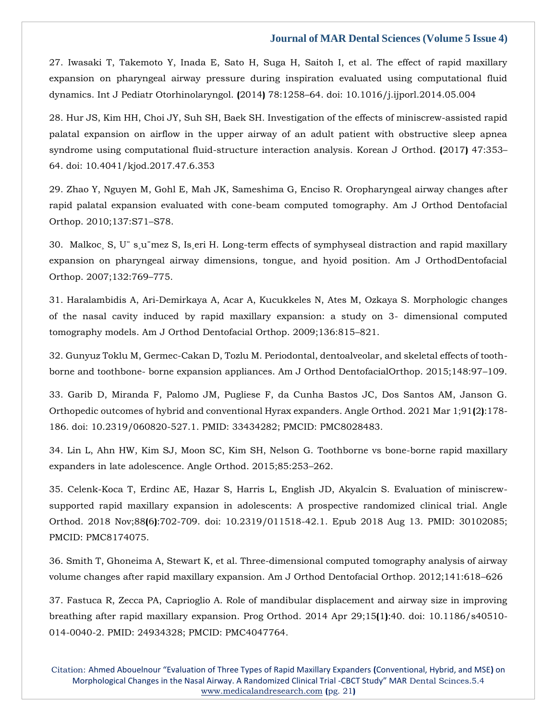27. [Iwasaki T, Takemoto Y, Inada E, Sato H, Suga H, Saitoh I, et al. The effect of rapid maxillary](https://www.google.com/search?q=.+The+effect+of+rapid+maxillary+expansion+on+pharyngeal+airway+pressure+during+inspiration+evaluated+using+computational+fluid+dynamics.+Int+J+Pediatr+Otorhinolaryngol.&sxsrf=ALiCzsZbc61gePxXULPa5pcWTar4W_QBlQ%3A1651212088929&ei=OH9rYpWyOK-Z4-EP-feNmAU&ved=0ahUKEwiVromwzLj3AhWvzDgGHfl7A1MQ4dUDCA4&oq=.+The+effect+of+rapid+maxillary+expansion+on+pharyngeal+airway+pressure+during+inspiration+evaluated+using+computational+fluid+dynamics.+Int+J+Pediatr+Otorhinolaryngol.&gs_lcp=Cgdnd3Mtd2l6EAwyBwgjEOoCECcyBwgjEOoCECcyBwgjEOoCECcyBwgjEOoCECcyBwgjEOoCECcyBwgjEOoCECcyBwgjEOoCECcyBwgjEOoCECcyBwgjEOoCECcyBwgjEOoCECdKBAhBGABKBAhGGABQ2gJY2gJgtgZoAXAAeACAAQCIAQCSAQCYAQCgAQGgAQKwAQrAAQE&sclient=gws-wiz)  [expansion on pharyngeal airway pressure during inspiration evaluated using computational fluid](https://www.google.com/search?q=.+The+effect+of+rapid+maxillary+expansion+on+pharyngeal+airway+pressure+during+inspiration+evaluated+using+computational+fluid+dynamics.+Int+J+Pediatr+Otorhinolaryngol.&sxsrf=ALiCzsZbc61gePxXULPa5pcWTar4W_QBlQ%3A1651212088929&ei=OH9rYpWyOK-Z4-EP-feNmAU&ved=0ahUKEwiVromwzLj3AhWvzDgGHfl7A1MQ4dUDCA4&oq=.+The+effect+of+rapid+maxillary+expansion+on+pharyngeal+airway+pressure+during+inspiration+evaluated+using+computational+fluid+dynamics.+Int+J+Pediatr+Otorhinolaryngol.&gs_lcp=Cgdnd3Mtd2l6EAwyBwgjEOoCECcyBwgjEOoCECcyBwgjEOoCECcyBwgjEOoCECcyBwgjEOoCECcyBwgjEOoCECcyBwgjEOoCECcyBwgjEOoCECcyBwgjEOoCECcyBwgjEOoCECdKBAhBGABKBAhGGABQ2gJY2gJgtgZoAXAAeACAAQCIAQCSAQCYAQCgAQGgAQKwAQrAAQE&sclient=gws-wiz)  [dynamics. Int J Pediatr Otorhinolaryngol.](https://www.google.com/search?q=.+The+effect+of+rapid+maxillary+expansion+on+pharyngeal+airway+pressure+during+inspiration+evaluated+using+computational+fluid+dynamics.+Int+J+Pediatr+Otorhinolaryngol.&sxsrf=ALiCzsZbc61gePxXULPa5pcWTar4W_QBlQ%3A1651212088929&ei=OH9rYpWyOK-Z4-EP-feNmAU&ved=0ahUKEwiVromwzLj3AhWvzDgGHfl7A1MQ4dUDCA4&oq=.+The+effect+of+rapid+maxillary+expansion+on+pharyngeal+airway+pressure+during+inspiration+evaluated+using+computational+fluid+dynamics.+Int+J+Pediatr+Otorhinolaryngol.&gs_lcp=Cgdnd3Mtd2l6EAwyBwgjEOoCECcyBwgjEOoCECcyBwgjEOoCECcyBwgjEOoCECcyBwgjEOoCECcyBwgjEOoCECcyBwgjEOoCECcyBwgjEOoCECcyBwgjEOoCECcyBwgjEOoCECdKBAhBGABKBAhGGABQ2gJY2gJgtgZoAXAAeACAAQCIAQCSAQCYAQCgAQGgAQKwAQrAAQE&sclient=gws-wiz) **(**2014**)** 78:1258–64. doi: 10.1016/j.ijporl.2014.05.004

28. [Hur JS, Kim HH, Choi JY, Suh SH, Baek SH. Investigation of the effects of miniscrew-assisted rapid](https://www.google.com/search?q=Investigation+of+the+effects+of+miniscrew-assisted+rapid+palatal+expansion+on+airflow+in+the+upper+airway+of+an+adult+patient+with+obstructive+sleep+apnea+syndrome+using+computational+fluid-structure+interaction+analysis&sxsrf=ALiCzsZHJL77Ef76FKDaBDViWAzr12kVmg%3A1651212101621&ei=RX9rYsu9Jamb4-EPotan8AQ&ved=0ahUKEwiL9I-2zLj3AhWpzTgGHSLrCU4Q4dUDCA4&oq=Investigation+of+the+effects+of+miniscrew-assisted+rapid+palatal+expansion+on+airflow+in+the+upper+airway+of+an+adult+patient+with+obstructive+sleep+apnea+syndrome+using+computational+fluid-structure+interaction+analysis&gs_lcp=Cgdnd3Mtd2l6EAwyBwgjEOoCECcyBwgjEOoCECcyBwgjEOoCECcyBwgjEOoCECcyBwgjEOoCECcyBwgjEOoCECcyBwgjEOoCECcyBwgjEOoCECcyBwgjEOoCECcyBwgjEOoCECdKBAhBGABKBAhGGABQ-gJY-gJgjAdoAXAAeACAAQCIAQCSAQCYAQCgAQGgAQKwAQrAAQE&sclient=gws-wiz)  [palatal expansion on airflow in the upper airway of an adult patient with obstructive sleep apnea](https://www.google.com/search?q=Investigation+of+the+effects+of+miniscrew-assisted+rapid+palatal+expansion+on+airflow+in+the+upper+airway+of+an+adult+patient+with+obstructive+sleep+apnea+syndrome+using+computational+fluid-structure+interaction+analysis&sxsrf=ALiCzsZHJL77Ef76FKDaBDViWAzr12kVmg%3A1651212101621&ei=RX9rYsu9Jamb4-EPotan8AQ&ved=0ahUKEwiL9I-2zLj3AhWpzTgGHSLrCU4Q4dUDCA4&oq=Investigation+of+the+effects+of+miniscrew-assisted+rapid+palatal+expansion+on+airflow+in+the+upper+airway+of+an+adult+patient+with+obstructive+sleep+apnea+syndrome+using+computational+fluid-structure+interaction+analysis&gs_lcp=Cgdnd3Mtd2l6EAwyBwgjEOoCECcyBwgjEOoCECcyBwgjEOoCECcyBwgjEOoCECcyBwgjEOoCECcyBwgjEOoCECcyBwgjEOoCECcyBwgjEOoCECcyBwgjEOoCECcyBwgjEOoCECdKBAhBGABKBAhGGABQ-gJY-gJgjAdoAXAAeACAAQCIAQCSAQCYAQCgAQGgAQKwAQrAAQE&sclient=gws-wiz)  [syndrome using computational fluid-structure interaction analysis. Korean J](https://www.google.com/search?q=Investigation+of+the+effects+of+miniscrew-assisted+rapid+palatal+expansion+on+airflow+in+the+upper+airway+of+an+adult+patient+with+obstructive+sleep+apnea+syndrome+using+computational+fluid-structure+interaction+analysis&sxsrf=ALiCzsZHJL77Ef76FKDaBDViWAzr12kVmg%3A1651212101621&ei=RX9rYsu9Jamb4-EPotan8AQ&ved=0ahUKEwiL9I-2zLj3AhWpzTgGHSLrCU4Q4dUDCA4&oq=Investigation+of+the+effects+of+miniscrew-assisted+rapid+palatal+expansion+on+airflow+in+the+upper+airway+of+an+adult+patient+with+obstructive+sleep+apnea+syndrome+using+computational+fluid-structure+interaction+analysis&gs_lcp=Cgdnd3Mtd2l6EAwyBwgjEOoCECcyBwgjEOoCECcyBwgjEOoCECcyBwgjEOoCECcyBwgjEOoCECcyBwgjEOoCECcyBwgjEOoCECcyBwgjEOoCECcyBwgjEOoCECcyBwgjEOoCECdKBAhBGABKBAhGGABQ-gJY-gJgjAdoAXAAeACAAQCIAQCSAQCYAQCgAQGgAQKwAQrAAQE&sclient=gws-wiz) Orthod. **(**2017**)** 47:353– [64. doi: 10.4041/kjod.2017.47.6.353](https://www.google.com/search?q=Investigation+of+the+effects+of+miniscrew-assisted+rapid+palatal+expansion+on+airflow+in+the+upper+airway+of+an+adult+patient+with+obstructive+sleep+apnea+syndrome+using+computational+fluid-structure+interaction+analysis&sxsrf=ALiCzsZHJL77Ef76FKDaBDViWAzr12kVmg%3A1651212101621&ei=RX9rYsu9Jamb4-EPotan8AQ&ved=0ahUKEwiL9I-2zLj3AhWpzTgGHSLrCU4Q4dUDCA4&oq=Investigation+of+the+effects+of+miniscrew-assisted+rapid+palatal+expansion+on+airflow+in+the+upper+airway+of+an+adult+patient+with+obstructive+sleep+apnea+syndrome+using+computational+fluid-structure+interaction+analysis&gs_lcp=Cgdnd3Mtd2l6EAwyBwgjEOoCECcyBwgjEOoCECcyBwgjEOoCECcyBwgjEOoCECcyBwgjEOoCECcyBwgjEOoCECcyBwgjEOoCECcyBwgjEOoCECcyBwgjEOoCECcyBwgjEOoCECdKBAhBGABKBAhGGABQ-gJY-gJgjAdoAXAAeACAAQCIAQCSAQCYAQCgAQGgAQKwAQrAAQE&sclient=gws-wiz)

29. [Zhao Y, Nguyen M, Gohl E, Mah JK, Sameshima G, Enciso R. Oropharyngeal airway changes after](https://www.google.com/search?q=Oropharyngeal+airway+changes+after+rapid+palatal+expansion+evaluated+with+cone-beam+computed+tomography&sxsrf=ALiCzsbMM6ILdupSE-rcbbFO59JaABIVMg%3A1651212117117&ei=VX9rYoTcBpWZ4-EPttiF8A0&ved=0ahUKEwjE2sG9zLj3AhWVzDgGHTZsAd4Q4dUDCA4&oq=Oropharyngeal+airway+changes+after+rapid+palatal+expansion+evaluated+with+cone-beam+computed+tomography&gs_lcp=Cgdnd3Mtd2l6EAwyBwgjEOoCECcyBwgjEOoCECcyBwgjEOoCECcyBwgjEOoCECcyBwgjEOoCECcyBwgjEOoCECcyBwgjEOoCECcyBwgjEOoCECcyBwgjEOoCECcyBwgjEOoCECdKBAhBGABKBAhGGABQnQJYnQJgrQdoAXAAeACAAQCIAQCSAQCYAQCgAQGgAQKwAQrAAQE&sclient=gws-wiz)  [rapid palatal expansion evaluated with cone-beam computed tomography. Am J Orthod Dentofacial](https://www.google.com/search?q=Oropharyngeal+airway+changes+after+rapid+palatal+expansion+evaluated+with+cone-beam+computed+tomography&sxsrf=ALiCzsbMM6ILdupSE-rcbbFO59JaABIVMg%3A1651212117117&ei=VX9rYoTcBpWZ4-EPttiF8A0&ved=0ahUKEwjE2sG9zLj3AhWVzDgGHTZsAd4Q4dUDCA4&oq=Oropharyngeal+airway+changes+after+rapid+palatal+expansion+evaluated+with+cone-beam+computed+tomography&gs_lcp=Cgdnd3Mtd2l6EAwyBwgjEOoCECcyBwgjEOoCECcyBwgjEOoCECcyBwgjEOoCECcyBwgjEOoCECcyBwgjEOoCECcyBwgjEOoCECcyBwgjEOoCECcyBwgjEOoCECcyBwgjEOoCECdKBAhBGABKBAhGGABQnQJYnQJgrQdoAXAAeACAAQCIAQCSAQCYAQCgAQGgAQKwAQrAAQE&sclient=gws-wiz)  [Orthop. 2010;137:S71](https://www.google.com/search?q=Oropharyngeal+airway+changes+after+rapid+palatal+expansion+evaluated+with+cone-beam+computed+tomography&sxsrf=ALiCzsbMM6ILdupSE-rcbbFO59JaABIVMg%3A1651212117117&ei=VX9rYoTcBpWZ4-EPttiF8A0&ved=0ahUKEwjE2sG9zLj3AhWVzDgGHTZsAd4Q4dUDCA4&oq=Oropharyngeal+airway+changes+after+rapid+palatal+expansion+evaluated+with+cone-beam+computed+tomography&gs_lcp=Cgdnd3Mtd2l6EAwyBwgjEOoCECcyBwgjEOoCECcyBwgjEOoCECcyBwgjEOoCECcyBwgjEOoCECcyBwgjEOoCECcyBwgjEOoCECcyBwgjEOoCECcyBwgjEOoCECcyBwgjEOoCECdKBAhBGABKBAhGGABQnQJYnQJgrQdoAXAAeACAAQCIAQCSAQCYAQCgAQGgAQKwAQrAAQE&sclient=gws-wiz)–S78.

30. [Malkoc¸ S, U¨ s¸u¨mez S, Is¸eri H. Long-term effects of symphyseal distraction and rapid maxillary](https://www.google.com/search?q=Long-term+effects+of+symphyseal+distraction+and+rapid+maxillary+expansion+on+pharyngeal+airway+dimensions%2C+tongue%2C+and+hyoid+position&sxsrf=ALiCzsbFnBXljKh9JQ8WNwjC8GPODYfZWg%3A1651212144645&ei=cH9rYsyFJ-yW4-EP5IOQmA4&ved=0ahUKEwjM_dHKzLj3AhVsyzgGHeQBBOMQ4dUDCA4&oq=Long-term+effects+of+symphyseal+distraction+and+rapid+maxillary+expansion+on+pharyngeal+airway+dimensions%2C+tongue%2C+and+hyoid+position&gs_lcp=Cgdnd3Mtd2l6EAwyBwgjEOoCECcyBwgjEOoCECcyBwgjEOoCECcyBwgjEOoCECcyBwgjEOoCECcyBwgjEOoCECcyBwgjEOoCECcyBwgjEOoCECcyBwgjEOoCECcyBwgjEOoCECdKBAhBGABKBAhGGABQ0AJY0AJgnQdoAXAAeACAAQCIAQCSAQCYAQCgAQGgAQKwAQrAAQE&sclient=gws-wiz)  [expansion on pharyngeal airway dimensions, tongue, and hyoid position. Am J OrthodDentofacial](https://www.google.com/search?q=Long-term+effects+of+symphyseal+distraction+and+rapid+maxillary+expansion+on+pharyngeal+airway+dimensions%2C+tongue%2C+and+hyoid+position&sxsrf=ALiCzsbFnBXljKh9JQ8WNwjC8GPODYfZWg%3A1651212144645&ei=cH9rYsyFJ-yW4-EP5IOQmA4&ved=0ahUKEwjM_dHKzLj3AhVsyzgGHeQBBOMQ4dUDCA4&oq=Long-term+effects+of+symphyseal+distraction+and+rapid+maxillary+expansion+on+pharyngeal+airway+dimensions%2C+tongue%2C+and+hyoid+position&gs_lcp=Cgdnd3Mtd2l6EAwyBwgjEOoCECcyBwgjEOoCECcyBwgjEOoCECcyBwgjEOoCECcyBwgjEOoCECcyBwgjEOoCECcyBwgjEOoCECcyBwgjEOoCECcyBwgjEOoCECcyBwgjEOoCECdKBAhBGABKBAhGGABQ0AJY0AJgnQdoAXAAeACAAQCIAQCSAQCYAQCgAQGgAQKwAQrAAQE&sclient=gws-wiz)  [Orthop. 2007;132:769](https://www.google.com/search?q=Long-term+effects+of+symphyseal+distraction+and+rapid+maxillary+expansion+on+pharyngeal+airway+dimensions%2C+tongue%2C+and+hyoid+position&sxsrf=ALiCzsbFnBXljKh9JQ8WNwjC8GPODYfZWg%3A1651212144645&ei=cH9rYsyFJ-yW4-EP5IOQmA4&ved=0ahUKEwjM_dHKzLj3AhVsyzgGHeQBBOMQ4dUDCA4&oq=Long-term+effects+of+symphyseal+distraction+and+rapid+maxillary+expansion+on+pharyngeal+airway+dimensions%2C+tongue%2C+and+hyoid+position&gs_lcp=Cgdnd3Mtd2l6EAwyBwgjEOoCECcyBwgjEOoCECcyBwgjEOoCECcyBwgjEOoCECcyBwgjEOoCECcyBwgjEOoCECcyBwgjEOoCECcyBwgjEOoCECcyBwgjEOoCECcyBwgjEOoCECdKBAhBGABKBAhGGABQ0AJY0AJgnQdoAXAAeACAAQCIAQCSAQCYAQCgAQGgAQKwAQrAAQE&sclient=gws-wiz)–775.

31. [Haralambidis A, Ari-Demirkaya A, Acar A, Kucukkeles N, Ates M, Ozkaya S. Morphologic](https://www.google.com/search?q=Morphologic+changes+of+the+nasal+cavity+induced+by+rapid+maxillary+expansion%3A+a+study+on+3-+dimensional+computed+tomography+models.&sxsrf=ALiCzsYH5EDpzlvJO0bMVw2KBCb9Vmi9UQ%3A1651212155805&ei=e39rYqzeMKCe4-EP-62doAc&ved=0ahUKEwjsh_vPzLj3AhUgzzgGHftWB3QQ4dUDCA4&oq=Morphologic+changes+of+the+nasal+cavity+induced+by+rapid+maxillary+expansion%3A+a+study+on+3-+dimensional+computed+tomography+models.&gs_lcp=Cgdnd3Mtd2l6EAwyBwgjEOoCECcyBwgjEOoCECcyBwgjEOoCECcyBwgjEOoCECcyBwgjEOoCECcyBwgjEOoCECcyBwgjEOoCECcyBwgjEOoCECcyBwgjEOoCECcyBwgjEOoCECdKBAhBGABKBAhGGABQ-QNY-QNg8wdoAXAAeACAAQCIAQCSAQCYAQCgAQGgAQKwAQrAAQE&sclient=gws-wiz) changes [of the nasal cavity induced by rapid maxillary expansion: a study on 3-](https://www.google.com/search?q=Morphologic+changes+of+the+nasal+cavity+induced+by+rapid+maxillary+expansion%3A+a+study+on+3-+dimensional+computed+tomography+models.&sxsrf=ALiCzsYH5EDpzlvJO0bMVw2KBCb9Vmi9UQ%3A1651212155805&ei=e39rYqzeMKCe4-EP-62doAc&ved=0ahUKEwjsh_vPzLj3AhUgzzgGHftWB3QQ4dUDCA4&oq=Morphologic+changes+of+the+nasal+cavity+induced+by+rapid+maxillary+expansion%3A+a+study+on+3-+dimensional+computed+tomography+models.&gs_lcp=Cgdnd3Mtd2l6EAwyBwgjEOoCECcyBwgjEOoCECcyBwgjEOoCECcyBwgjEOoCECcyBwgjEOoCECcyBwgjEOoCECcyBwgjEOoCECcyBwgjEOoCECcyBwgjEOoCECcyBwgjEOoCECdKBAhBGABKBAhGGABQ-QNY-QNg8wdoAXAAeACAAQCIAQCSAQCYAQCgAQGgAQKwAQrAAQE&sclient=gws-wiz) dimensional computed [tomography models. Am J Orthod Dentofacial Orthop. 2009;136:815](https://www.google.com/search?q=Morphologic+changes+of+the+nasal+cavity+induced+by+rapid+maxillary+expansion%3A+a+study+on+3-+dimensional+computed+tomography+models.&sxsrf=ALiCzsYH5EDpzlvJO0bMVw2KBCb9Vmi9UQ%3A1651212155805&ei=e39rYqzeMKCe4-EP-62doAc&ved=0ahUKEwjsh_vPzLj3AhUgzzgGHftWB3QQ4dUDCA4&oq=Morphologic+changes+of+the+nasal+cavity+induced+by+rapid+maxillary+expansion%3A+a+study+on+3-+dimensional+computed+tomography+models.&gs_lcp=Cgdnd3Mtd2l6EAwyBwgjEOoCECcyBwgjEOoCECcyBwgjEOoCECcyBwgjEOoCECcyBwgjEOoCECcyBwgjEOoCECcyBwgjEOoCECcyBwgjEOoCECcyBwgjEOoCECcyBwgjEOoCECdKBAhBGABKBAhGGABQ-QNY-QNg8wdoAXAAeACAAQCIAQCSAQCYAQCgAQGgAQKwAQrAAQE&sclient=gws-wiz)–821.

32. [Gunyuz Toklu M, Germec-Cakan D, Tozlu M. Periodontal, dentoalveolar, and skeletal effects of tooth](https://www.google.com/search?q=Periodontal%2C+dentoalveolar%2C+and+skeletal+effects+of+tooth-borne+and+toothbone-+borne+expansion+appliances.+&sxsrf=ALiCzsZM1KLzIfYkGweQFBe-hPmaznGGvw%3A1651212169061&ei=iX9rYqisA7CY4-EPguKoiAw&ved=0ahUKEwjolKTWzLj3AhUwzDgGHQIxCsEQ4dUDCA4&oq=Periodontal%2C+dentoalveolar%2C+and+skeletal+effects+of+tooth-borne+and+toothbone-+borne+expansion+appliances.+&gs_lcp=Cgdnd3Mtd2l6EAwyBwgjEOoCECcyBwgjEOoCECcyBwgjEOoCECcyBwgjEOoCECcyBwgjEOoCECcyBwgjEOoCECcyBwgjEOoCECcyBwgjEOoCECcyBwgjEOoCECcyBwgjEOoCECdKBAhBGABKBAhGGABQ3AJY3AJgrQZoAXAAeACAAQCIAQCSAQCYAQCgAQGgAQKwAQrAAQE&sclient=gws-wiz)borne and toothbone- [borne expansion appliances. Am J Orthod DentofacialOrthop. 2015;148:97](https://www.google.com/search?q=Periodontal%2C+dentoalveolar%2C+and+skeletal+effects+of+tooth-borne+and+toothbone-+borne+expansion+appliances.+&sxsrf=ALiCzsZM1KLzIfYkGweQFBe-hPmaznGGvw%3A1651212169061&ei=iX9rYqisA7CY4-EPguKoiAw&ved=0ahUKEwjolKTWzLj3AhUwzDgGHQIxCsEQ4dUDCA4&oq=Periodontal%2C+dentoalveolar%2C+and+skeletal+effects+of+tooth-borne+and+toothbone-+borne+expansion+appliances.+&gs_lcp=Cgdnd3Mtd2l6EAwyBwgjEOoCECcyBwgjEOoCECcyBwgjEOoCECcyBwgjEOoCECcyBwgjEOoCECcyBwgjEOoCECcyBwgjEOoCECcyBwgjEOoCECcyBwgjEOoCECcyBwgjEOoCECdKBAhBGABKBAhGGABQ3AJY3AJgrQZoAXAAeACAAQCIAQCSAQCYAQCgAQGgAQKwAQrAAQE&sclient=gws-wiz)–109.

33. [Garib D, Miranda F, Palomo JM, Pugliese F, da Cunha Bastos JC, Dos Santos AM, Janson G.](https://www.google.com/search?q=Orthopedic+outcomes+of+hybrid+and+conventional+Hyrax+expanders&sxsrf=ALiCzsbolXzVOVR6aHyuOjA1ocBTAwjoQg%3A1651212187855&ei=m39rYpvoM_WX4-EPjp2w0A4&ved=0ahUKEwjboZ_fzLj3AhX1yzgGHY4ODOoQ4dUDCA4&oq=Orthopedic+outcomes+of+hybrid+and+conventional+Hyrax+expanders&gs_lcp=Cgdnd3Mtd2l6EAw6BwgjEOoCECdKBAhBGABKBAhGGABQjQNYjQNglwdoAXAAeACAAZUDiAGVA5IBAzQtMZgBAKABAaABArABCsABAQ&sclient=gws-wiz)  Orthopedic [outcomes of hybrid and conventional Hyrax expanders. Angle Orthod. 2021 Mar 1;91](https://www.google.com/search?q=Orthopedic+outcomes+of+hybrid+and+conventional+Hyrax+expanders&sxsrf=ALiCzsbolXzVOVR6aHyuOjA1ocBTAwjoQg%3A1651212187855&ei=m39rYpvoM_WX4-EPjp2w0A4&ved=0ahUKEwjboZ_fzLj3AhX1yzgGHY4ODOoQ4dUDCA4&oq=Orthopedic+outcomes+of+hybrid+and+conventional+Hyrax+expanders&gs_lcp=Cgdnd3Mtd2l6EAw6BwgjEOoCECdKBAhBGABKBAhGGABQjQNYjQNglwdoAXAAeACAAZUDiAGVA5IBAzQtMZgBAKABAaABArABCsABAQ&sclient=gws-wiz)**(**2**)**:178- [186. doi: 10.2319/060820-527.1. PMID: 33434282; PMCID: PMC8028483.](https://www.google.com/search?q=Orthopedic+outcomes+of+hybrid+and+conventional+Hyrax+expanders&sxsrf=ALiCzsbolXzVOVR6aHyuOjA1ocBTAwjoQg%3A1651212187855&ei=m39rYpvoM_WX4-EPjp2w0A4&ved=0ahUKEwjboZ_fzLj3AhX1yzgGHY4ODOoQ4dUDCA4&oq=Orthopedic+outcomes+of+hybrid+and+conventional+Hyrax+expanders&gs_lcp=Cgdnd3Mtd2l6EAw6BwgjEOoCECdKBAhBGABKBAhGGABQjQNYjQNglwdoAXAAeACAAZUDiAGVA5IBAzQtMZgBAKABAaABArABCsABAQ&sclient=gws-wiz)

34. [Lin L, Ahn HW, Kim SJ, Moon SC, Kim SH, Nelson G. Toothborne vs bone-borne rapid maxillary](https://www.google.com/search?q=+Toothborne+vs+bone-borne+rapid+maxillary+expanders+in+late+adolescence&sxsrf=ALiCzsbE60ey7IUkg8a_bq1zFrg1b4Mggw%3A1651212716219&ei=rIFrYvGHDbCL4-EPxLmkyAY&ved=0ahUKEwjxjZjbzrj3AhWwxTgGHcQcCWkQ4dUDCA4&oq=+Toothborne+vs+bone-borne+rapid+maxillary+expanders+in+late+adolescence&gs_lcp=Cgdnd3Mtd2l6EAwyBwgjEOoCECcyBwgjEOoCECcyBwgjEOoCECcyBwgjEOoCECcyBwgjEOoCECcyBwgjEOoCECcyBwgjEOoCECcyBwgjEOoCECcyBwgjEOoCECcyBwgjEOoCECdKBAhBGABKBAhGGABQhQNYhQNgzwZoAXAAeACAAZsDiAGbA5IBAzQtMZgBAKABAaABArABCsABAQ&sclient=gws-wiz)  [expanders in late adolescence. Angle Orthod. 2015;85:253](https://www.google.com/search?q=+Toothborne+vs+bone-borne+rapid+maxillary+expanders+in+late+adolescence&sxsrf=ALiCzsbE60ey7IUkg8a_bq1zFrg1b4Mggw%3A1651212716219&ei=rIFrYvGHDbCL4-EPxLmkyAY&ved=0ahUKEwjxjZjbzrj3AhWwxTgGHcQcCWkQ4dUDCA4&oq=+Toothborne+vs+bone-borne+rapid+maxillary+expanders+in+late+adolescence&gs_lcp=Cgdnd3Mtd2l6EAwyBwgjEOoCECcyBwgjEOoCECcyBwgjEOoCECcyBwgjEOoCECcyBwgjEOoCECcyBwgjEOoCECcyBwgjEOoCECcyBwgjEOoCECcyBwgjEOoCECcyBwgjEOoCECdKBAhBGABKBAhGGABQhQNYhQNgzwZoAXAAeACAAZsDiAGbA5IBAzQtMZgBAKABAaABArABCsABAQ&sclient=gws-wiz)–262.

35. [Celenk-Koca T, Erdinc AE, Hazar S, Harris L, English JD, Akyalcin S. Evaluation of miniscrew](https://www.google.com/search?q=Evaluation+of+miniscrew-supported+rapid+maxillary+expansion+in+adolescents%3A+A+prospective+randomized+clinical+trial.+Angle+Orthod.&sxsrf=ALiCzsbLUXIqniuAuaONbOE373L8pSKXwg%3A1651212729197&ei=uYFrYu7SC4yL4-EPlfuR-Ag&ved=0ahUKEwiuk7Dhzrj3AhWMxTgGHZV9BI8Q4dUDCA4&oq=Evaluation+of+miniscrew-supported+rapid+maxillary+expansion+in+adolescents%3A+A+prospective+randomized+clinical+trial.+Angle+Orthod.&gs_lcp=Cgdnd3Mtd2l6EAwyBwgjEOoCECcyBwgjEOoCECcyBwgjEOoCECcyBwgjEOoCECcyBwgjEOoCECcyBwgjEOoCECcyBwgjEOoCECcyBwgjEOoCECcyBwgjEOoCECcyBwgjEOoCECdKBAhBGABKBAhGGABQgANYgANg3wdoAXABeACAAQCIAQCSAQCYAQCgAQGgAQKwAQrAAQE&sclient=gws-wiz)[supported rapid maxillary expansion in adolescents: A prospective randomized clinical trial. Angle](https://www.google.com/search?q=Evaluation+of+miniscrew-supported+rapid+maxillary+expansion+in+adolescents%3A+A+prospective+randomized+clinical+trial.+Angle+Orthod.&sxsrf=ALiCzsbLUXIqniuAuaONbOE373L8pSKXwg%3A1651212729197&ei=uYFrYu7SC4yL4-EPlfuR-Ag&ved=0ahUKEwiuk7Dhzrj3AhWMxTgGHZV9BI8Q4dUDCA4&oq=Evaluation+of+miniscrew-supported+rapid+maxillary+expansion+in+adolescents%3A+A+prospective+randomized+clinical+trial.+Angle+Orthod.&gs_lcp=Cgdnd3Mtd2l6EAwyBwgjEOoCECcyBwgjEOoCECcyBwgjEOoCECcyBwgjEOoCECcyBwgjEOoCECcyBwgjEOoCECcyBwgjEOoCECcyBwgjEOoCECcyBwgjEOoCECcyBwgjEOoCECdKBAhBGABKBAhGGABQgANYgANg3wdoAXABeACAAQCIAQCSAQCYAQCgAQGgAQKwAQrAAQE&sclient=gws-wiz)  Orthod. 2018 Nov;88**(**6**)**[:702-709. doi: 10.2319/011518-42.1. Epub 2018 Aug 13. PMID: 30102085;](https://www.google.com/search?q=Evaluation+of+miniscrew-supported+rapid+maxillary+expansion+in+adolescents%3A+A+prospective+randomized+clinical+trial.+Angle+Orthod.&sxsrf=ALiCzsbLUXIqniuAuaONbOE373L8pSKXwg%3A1651212729197&ei=uYFrYu7SC4yL4-EPlfuR-Ag&ved=0ahUKEwiuk7Dhzrj3AhWMxTgGHZV9BI8Q4dUDCA4&oq=Evaluation+of+miniscrew-supported+rapid+maxillary+expansion+in+adolescents%3A+A+prospective+randomized+clinical+trial.+Angle+Orthod.&gs_lcp=Cgdnd3Mtd2l6EAwyBwgjEOoCECcyBwgjEOoCECcyBwgjEOoCECcyBwgjEOoCECcyBwgjEOoCECcyBwgjEOoCECcyBwgjEOoCECcyBwgjEOoCECcyBwgjEOoCECcyBwgjEOoCECdKBAhBGABKBAhGGABQgANYgANg3wdoAXABeACAAQCIAQCSAQCYAQCgAQGgAQKwAQrAAQE&sclient=gws-wiz)  [PMCID: PMC8174075.](https://www.google.com/search?q=Evaluation+of+miniscrew-supported+rapid+maxillary+expansion+in+adolescents%3A+A+prospective+randomized+clinical+trial.+Angle+Orthod.&sxsrf=ALiCzsbLUXIqniuAuaONbOE373L8pSKXwg%3A1651212729197&ei=uYFrYu7SC4yL4-EPlfuR-Ag&ved=0ahUKEwiuk7Dhzrj3AhWMxTgGHZV9BI8Q4dUDCA4&oq=Evaluation+of+miniscrew-supported+rapid+maxillary+expansion+in+adolescents%3A+A+prospective+randomized+clinical+trial.+Angle+Orthod.&gs_lcp=Cgdnd3Mtd2l6EAwyBwgjEOoCECcyBwgjEOoCECcyBwgjEOoCECcyBwgjEOoCECcyBwgjEOoCECcyBwgjEOoCECcyBwgjEOoCECcyBwgjEOoCECcyBwgjEOoCECcyBwgjEOoCECdKBAhBGABKBAhGGABQgANYgANg3wdoAXABeACAAQCIAQCSAQCYAQCgAQGgAQKwAQrAAQE&sclient=gws-wiz)

36. [Smith T, Ghoneima A, Stewart K, et al. Three-dimensional computed tomography analysis of airway](https://www.google.com/search?q=.+Three-dimensional+computed+tomography+analysis+of+airway+volume+changes+after+rapid+maxillary+expansion&sxsrf=ALiCzsa_35jw94jahJi0o9nR9mgaT_o0-A%3A1651212743446&ei=x4FrYubtGqeX4-EP7ZCtqA4&ved=0ahUKEwim7ZXozrj3AhWnyzgGHW1IC-UQ4dUDCA4&oq=.+Three-dimensional+computed+tomography+analysis+of+airway+volume+changes+after+rapid+maxillary+expansion&gs_lcp=Cgdnd3Mtd2l6EAwyBwgjEOoCECcyBwgjEOoCECcyBwgjEOoCECcyBwgjEOoCECcyBwgjEOoCECcyBwgjEOoCECcyBwgjEOoCECcyBwgjEOoCECcyBwgjEOoCECcyBwgjEOoCECdKBAhBGABKBAhGGABQiwNYiwNgvgZoAXAAeACAAQCIAQCSAQCYAQCgAQGgAQKwAQrAAQE&sclient=gws-wiz)  [volume changes after rapid maxillary expansion. Am J Orthod Dentofacial Orthop. 2012;141:618](https://www.google.com/search?q=.+Three-dimensional+computed+tomography+analysis+of+airway+volume+changes+after+rapid+maxillary+expansion&sxsrf=ALiCzsa_35jw94jahJi0o9nR9mgaT_o0-A%3A1651212743446&ei=x4FrYubtGqeX4-EP7ZCtqA4&ved=0ahUKEwim7ZXozrj3AhWnyzgGHW1IC-UQ4dUDCA4&oq=.+Three-dimensional+computed+tomography+analysis+of+airway+volume+changes+after+rapid+maxillary+expansion&gs_lcp=Cgdnd3Mtd2l6EAwyBwgjEOoCECcyBwgjEOoCECcyBwgjEOoCECcyBwgjEOoCECcyBwgjEOoCECcyBwgjEOoCECcyBwgjEOoCECcyBwgjEOoCECcyBwgjEOoCECcyBwgjEOoCECdKBAhBGABKBAhGGABQiwNYiwNgvgZoAXAAeACAAQCIAQCSAQCYAQCgAQGgAQKwAQrAAQE&sclient=gws-wiz)–626

37. [Fastuca R, Zecca PA, Caprioglio A. Role of mandibular displacement and airway size in improving](https://www.google.com/search?q=Role+of+mandibular+displacement+and+airway+size+in+improving+breathing+after+rapid+maxillary+expansion&sxsrf=ALiCzsYCCnMTMzpQVXPSzJducSNdZPWD1g%3A1651212755543&ei=04FrYtrqIPeJ4-EPrbmyiAc&ved=0ahUKEwiaoPjtzrj3AhX3xDgGHa2cDHEQ4dUDCA4&oq=Role+of+mandibular+displacement+and+airway+size+in+improving+breathing+after+rapid+maxillary+expansion&gs_lcp=Cgdnd3Mtd2l6EAwyBwgjEOoCECcyBwgjEOoCECcyBwgjEOoCECcyBwgjEOoCECcyBwgjEOoCECcyBwgjEOoCECcyBwgjEOoCECcyBwgjEOoCECcyBwgjEOoCECcyBwgjEOoCECdKBAhBGABKBAhGGABQiwNYiwNgnwdoAXAAeACAAQCIAQCSAQCYAQCgAQGgAQKwAQrAAQE&sclient=gws-wiz)  [breathing after rapid maxillary expansion. Prog Orthod. 2014 Apr 29;15](https://www.google.com/search?q=Role+of+mandibular+displacement+and+airway+size+in+improving+breathing+after+rapid+maxillary+expansion&sxsrf=ALiCzsYCCnMTMzpQVXPSzJducSNdZPWD1g%3A1651212755543&ei=04FrYtrqIPeJ4-EPrbmyiAc&ved=0ahUKEwiaoPjtzrj3AhX3xDgGHa2cDHEQ4dUDCA4&oq=Role+of+mandibular+displacement+and+airway+size+in+improving+breathing+after+rapid+maxillary+expansion&gs_lcp=Cgdnd3Mtd2l6EAwyBwgjEOoCECcyBwgjEOoCECcyBwgjEOoCECcyBwgjEOoCECcyBwgjEOoCECcyBwgjEOoCECcyBwgjEOoCECcyBwgjEOoCECcyBwgjEOoCECcyBwgjEOoCECdKBAhBGABKBAhGGABQiwNYiwNgnwdoAXAAeACAAQCIAQCSAQCYAQCgAQGgAQKwAQrAAQE&sclient=gws-wiz)**(**1**)**:40. doi: 10.1186/s40510- [014-0040-2. PMID: 24934328; PMCID: PMC4047764.](https://www.google.com/search?q=Role+of+mandibular+displacement+and+airway+size+in+improving+breathing+after+rapid+maxillary+expansion&sxsrf=ALiCzsYCCnMTMzpQVXPSzJducSNdZPWD1g%3A1651212755543&ei=04FrYtrqIPeJ4-EPrbmyiAc&ved=0ahUKEwiaoPjtzrj3AhX3xDgGHa2cDHEQ4dUDCA4&oq=Role+of+mandibular+displacement+and+airway+size+in+improving+breathing+after+rapid+maxillary+expansion&gs_lcp=Cgdnd3Mtd2l6EAwyBwgjEOoCECcyBwgjEOoCECcyBwgjEOoCECcyBwgjEOoCECcyBwgjEOoCECcyBwgjEOoCECcyBwgjEOoCECcyBwgjEOoCECcyBwgjEOoCECcyBwgjEOoCECdKBAhBGABKBAhGGABQiwNYiwNgnwdoAXAAeACAAQCIAQCSAQCYAQCgAQGgAQKwAQrAAQE&sclient=gws-wiz)

Citation: Ahmed Abouelnour "Evaluation of Three Types of Rapid Maxillary Expanders **(**Conventional, Hybrid, and MSE**)** on Morphological Changes in the Nasal Airway. A Randomized Clinical Trial -CBCT Study" MAR Dental Scinces.5.4 [www.medicalandresearch.com](http://www.medicalandresearch.com/) **(**pg. 21**)**